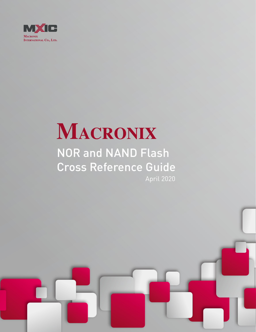

# MACRONIX

# NOR and NAND Flash Cross Reference Guide April 2020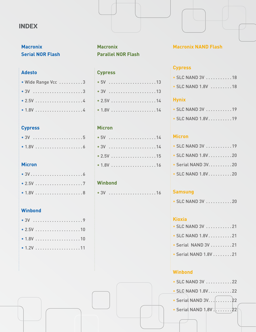# **INDEX**

# **Macronix Serial NOR Flash**

# **Adesto**

| • Wide Range Vcc 3 |  |  |  |  |  |  |  |  |  |  |  |
|--------------------|--|--|--|--|--|--|--|--|--|--|--|
|                    |  |  |  |  |  |  |  |  |  |  |  |
|                    |  |  |  |  |  |  |  |  |  |  |  |
|                    |  |  |  |  |  |  |  |  |  |  |  |

# **Cypress**

# **Micron**

# **Winbond**

# **Macronix Parallel NOR Flash**

# **Cypress**

# **Micron**

# **Winbond**

| $\bullet$ 3V |  |  |  |  |  |  |  |  |  |  |  |
|--------------|--|--|--|--|--|--|--|--|--|--|--|
|              |  |  |  |  |  |  |  |  |  |  |  |

# **Macronix NAND Flash**

# **Cypress**

|  |  | $\bullet$ SLC NAND 3V $\ldots \ldots \ldots \ldots$ 18 |  |  |  |  |  |  |  |  |  |  |  |  |  |  |
|--|--|--------------------------------------------------------|--|--|--|--|--|--|--|--|--|--|--|--|--|--|
|--|--|--------------------------------------------------------|--|--|--|--|--|--|--|--|--|--|--|--|--|--|

• SLC NAND 1.8V . . . . . . . . . 18

# **Hynix**

|  | $\bullet$ SLC NAND 3V $\ldots$ 19 |  |  |  |  |  |  |  |
|--|-----------------------------------|--|--|--|--|--|--|--|
|  | $\bullet$ SLC NAND 1.8V19         |  |  |  |  |  |  |  |

# **Micron**

|  | $\bullet$ SLC NAND 3V $\ldots$ 19 |  |  |  |  |  |  |
|--|-----------------------------------|--|--|--|--|--|--|
|  | $\bullet$ SLC NAND 1.8V20         |  |  |  |  |  |  |
|  | • Serial NAND 3V. 20              |  |  |  |  |  |  |
|  | $\bullet$ SLC NAND 1.8V20         |  |  |  |  |  |  |

# **Samsung**

|  |  | $\bullet$ SLC NAND 3V $\ldots \ldots \ldots 20$ |  |  |  |  |  |  |  |  |  |  |  |  |  |  |
|--|--|-------------------------------------------------|--|--|--|--|--|--|--|--|--|--|--|--|--|--|
|--|--|-------------------------------------------------|--|--|--|--|--|--|--|--|--|--|--|--|--|--|

# **Kioxia**

|  | $\bullet$ SLC NAND 3V $\ldots$ 21 |  |  |  |  |  |  |
|--|-----------------------------------|--|--|--|--|--|--|
|  | $\bullet$ SLC NAND 1.8V 21        |  |  |  |  |  |  |
|  |                                   |  |  |  |  |  |  |

- Serial NAND 3V . . . . . . . . 21
- Serial NAND 1.8V . . . . . . . 21

# **Winbond**

| $\cdot$ SLC NAND 3V $\ldots$ 22 |  |
|---------------------------------|--|
| $\cdot$ SLC NAND 1.8V22         |  |
| $\bullet$ Serial NAND 3V. 22    |  |
|                                 |  |
|                                 |  |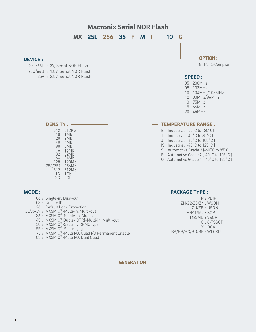

**GENERATION**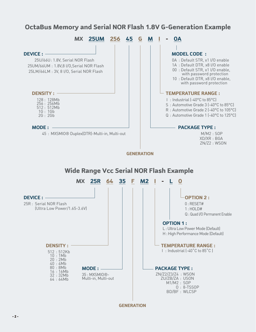# **OctaBus Memory and Serial NOR Flash 1.8V G-Generation Example**

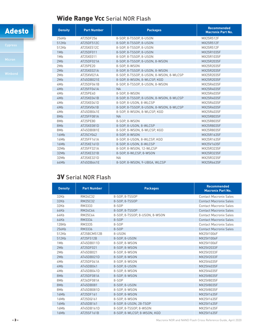# Wide Range Vcc Serial NOR Flash

| <b>Density</b> | <b>Part Number</b> | <b>Packages</b>                         | <b>Recommended</b><br><b>Macronix Part No.</b> |
|----------------|--------------------|-----------------------------------------|------------------------------------------------|
| 256Kb          | AT25DF256          | 8-SOP. 8-TSSOP. 8-USON                  | MX25R512F                                      |
| 512Kb          | AT25DF512C         | 8-S0P. 8-TSS0P. 8-USON                  | MX25R512F                                      |
| 512Kb          | AT25XE512C         | 8-SOP, 8-TSSOP, 8-USON                  | MX25R512F                                      |
| 1Mb            | AT25DF011          | 8-SOP, 8-TSSOP, 8-USON                  | MX25R1035F                                     |
| 1Mb            | AT25XE011          | 8-SOP. 8-TSSOP. 8-USON                  | MX25R1035F                                     |
| 2Mb            | AT25DF021A         | 8-SOP, 8-TSSOP, 8-USON, 8-WSON          | MX25R2035F                                     |
| 2Mb            | AT25PE20           | 8-SOP. 8-WSON                           | MX25R2035F                                     |
| 2Mb            | AT25XE021A         | 8-SOP, 8-TSSOP, 8-USON, 8-WSON          | MX25R2035F                                     |
| 2Mb            | AT25XV021A         | 8-SOP, 8-TSSOP, 8-USON, 8-WSON, 8-WLCSP | MX25R2035F                                     |
| 2Mb            | AT45DB021E         | 8-SOP, 8-WSON, 8-WLCSP, KGD             | MX25R2035F                                     |
| 4Mb            | AT25DF041B         | 8-SOP, 8-TSSOP, 8-USON, 8-WSON          | MX25R4035F                                     |
| 4Mb            | AT25FF041A         | <b>NA</b>                               | MX25R4035F                                     |
| 4Mb            | AT25PE40           | 8-SOP. 8-WSON                           | MX25R4035F                                     |
| 4Mb            | AT25XE041B         | 8-SOP, 8-TSSOP, 8-USON, 8-WSON, 8-WLCSP | MX25R4035F                                     |
| 4Mb            | AT25XE041D         | 8-SOP, 8-USON, 8-WLCSP                  | MX25R4035F                                     |
| 4Mb            | AT25XV041B         | 8-SOP, 8-TSSOP, 8-USON, 8-WSON, 8-WLCSP | MX25R4035F                                     |
| 4Mb            | AT45DB041E         | 8-SOP, 8-WSON, 8-WLCSP, KGD             | MX25R4035F                                     |
| 8Mb            | AT25FF081A         | <b>NA</b>                               | MX25R8035F                                     |
| 8Mb            | AT25PE80           | 8-SOP, 8-WSON                           | MX25R8035F                                     |
| 8Mb            | AT25XE081D         | 8-SOP. 8-USON. 8-WLCSP                  | MX25R8035F                                     |
| 8Mb            | AT45DB081E         | 8-SOP, 8-WSON, 8-WLCSP, KGD             | MX25R8035F                                     |
| 16Mb           | AT25CY042          | 8-SOP, 8-WSON                           | MX25R1635F                                     |
| 16Mb           | AT25FF161A         | 8-SOP, 8-USON, 8-WLCSP, KGD             | MX25R1635F                                     |
| 16Mb           | AT25XE161D         | 8-SOP, 8-USON, 8-WLCSP                  | MX25V1635F                                     |
| 32Mb           | AT25FF321A         | 8-SOP, 8-WSON, 12-WLCSP                 | MX25R3235F                                     |
| 32Mb           | AT25XE321B         | 8-SOP, 8-WLCSP, 8-WSON                  | MX25R3235F                                     |
| 32Mb           | AT25XE321D         | <b>NA</b>                               | MX25R3235F                                     |
| 64Mb           | AT45DB641E         | 8-SOP, 8-WSON, 9-UBGA, WLCSP            | MX25R6435F                                     |

# 3V Serial NOR Flash

| <b>Density</b> | <b>Part Number</b> | <b>Packages</b>                | <b>Recommended</b><br><b>Macronix Part No.</b> |
|----------------|--------------------|--------------------------------|------------------------------------------------|
| 32Kb           | RM24C32            | 8-SOP, 8-TSSOP                 | <b>Contact Macronix Sales</b>                  |
| 32Kb           | RM25C32            | 8-SOP. 8-TSSOP                 | <b>Contact Macronix Sales</b>                  |
| 32Kb           | RM3333             | $8-SDP$                        | <b>Contact Macronix Sales</b>                  |
| 64Kb           | RM24C64            | 8-SOP, 8-TSSOP                 | <b>Contact Macronix Sales</b>                  |
| 64Kb           | RM25C64            | 8-SOP. 8-TSSOP. 8-USON. 8-WSON | <b>Contact Macronix Sales</b>                  |
| 64Kb           | RM3334             | 8-SOP                          | <b>Contact Macronix Sales</b>                  |
| 128Kb          | RM3335             | 8-SOP                          | <b>Contact Macronix Sales</b>                  |
| 256Kb          | RM3336             | 8-SOP                          | <b>Contact Macronix Sales</b>                  |
| 512Kb          | AT25BCM512B        | 8-USON                         | MX25V1006F                                     |
| 512Kb          | AT25F512B          | 8-S0P, 8-USON                  | MX25V1006F                                     |
| 1Mb            | AT45DB011D         | 8-S0P, 8-WS0N                  | MX25V1006F                                     |
| 2Mb            | AT25DF021          | 8-S0P, 8-WS0N                  | MX25V2033F                                     |
| 2Mb            | AT45DB021          | 8-S0P, 8-WS0N                  | MX25V2033F                                     |
| 2Mb            | AT45DB021D         | 8-S0P, 8-WS0N                  | MX25V2033F                                     |
| 4Mb            | AT25DF041A         | 8-S0P. 8-WS0N                  | MX25V4035F                                     |
| 4Mb            | AT45DB041          | 8-SOP, 8-USON                  | MX25V4035F                                     |
| 4Mb            | AT45DB041D         | 8-S0P, 8-WS0N                  | MX25V4035F                                     |
| 8Mb            | AT25DF081A         | 8-S0P. 8-WS0N                  | MX25V8035F                                     |
| 8Mb            | AT26DF081A         | 8-SOP                          | MX25V8035F                                     |
| 8Mb            | AT45DB081          | 8-SOP, 8-USON                  | MX25V8035F                                     |
| 8Mb            | AT45DB081D         | 8-S0P. 8-WS0N                  | MX25V8035F                                     |
| 16Mb           | AT25DF161          | 8-S0P, 8-WS0N                  | MX25V1635F                                     |
| 16Mb           | AT25DQ161          | 8-S0P. 8-WS0N                  | MX25V1635F                                     |
| 16Mb           | AT45DB161          | 8-SOP, 8-USON, 28-TSOP         | MX25V1635F                                     |
| 16Mb           | AT45DB161D         | 8-SOP, 8-TSSOP, 8-WSON         | MX25V1635F                                     |
| 16Mb           | AT25SF161B         | 8-SOP. 8-WLCSP. 8-WSON. KGD    | MX25V1635F                                     |

- 3 - Macronix NOR and NAND Flash Cross Reference Guide, April 2020

Adesto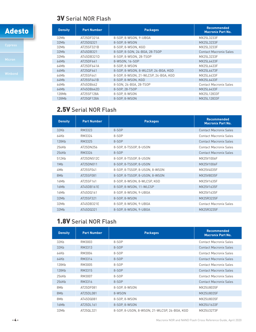# 3V Serial NOR Flash

I



| <b>Density</b> | <b>Part Number</b> | <b>Packages</b>                      | <b>Recommended</b><br><b>Macronix Part No.</b> |
|----------------|--------------------|--------------------------------------|------------------------------------------------|
| 32Mb           | AT25DF321A         | 8-SOP. 8-WSON. 9-UBGA                | MX25L3233F                                     |
| 32Mb           | AT25DQ321          | 8-S0P. 8-WS0N                        | MX25L3233F                                     |
| 32Mb           | AT25SF321B         | 8-SOP. 8-WSON. KGD                   | MX25L3233F                                     |
| 32Mb           | AT45DB321          | 8-SOP, 8-SON, 24-BGA, 28-TSOP        | <b>Contact Macronix Sales</b>                  |
| 32Mb           | AT45DB321D         | 8-SOP. 8-WSON. 28-TSOP               | MX25L3233F                                     |
| 64Mb           | AT25DF641          | 8-WSON, 16-SOP                       | MX25L6433F                                     |
| 64Mb           | AT25DF641A         | 8-S0P. 8-WS0N                        | MX25L6433F                                     |
| 64Mb           | AT250F641          | 8-SOP, 8-WSON, 8-WLCSP, 24-BGA, KGD  | MX25L6473F                                     |
| 64Mb           | AT25SF641          | 8-SOP, 8-WSON, 21-WLCSP, 24-BGA, KGD | MX25L6433F                                     |
| 64Mb           | AT25SF641B         | 8-SOP. 8-WSON. KGD                   | MX25L6433F                                     |
| 64Mb           | AT45DB642          | 8-SON, 24-BGA, 28-TSOP               | <b>Contact Macronix Sales</b>                  |
| 64Mb           | AT45DB642D         | 8-SOP. 28-TSOP                       | MX25L6433F                                     |
| 128Mb          | AT25SF128A         | 8-SOP, 8-WSON                        | MX25L12833F                                    |
| 128Mb          | AT250F128A         | 8-SOP. 8-WSON                        | MX25L12833F                                    |

# 2.5V Serial NOR Flash

| <b>Density</b> | <b>Part Number</b> | <b>Packages</b>                | <b>Recommended</b><br><b>Macronix Part No.</b> |
|----------------|--------------------|--------------------------------|------------------------------------------------|
| 32Kb           | RM3323             | 8-SOP                          | <b>Contact Macronix Sales</b>                  |
| 64Kb           | RM3324             | 8-SOP                          | <b>Contact Macronix Sales</b>                  |
| 128Kb          | RM3325             | 8-SOP                          | <b>Contact Macronix Sales</b>                  |
| 256Kb          | AT25DN256          | 8-SOP, 8-TSSOP, 8-USON         | <b>Contact Macronix Sales</b>                  |
| 256Kb          | RM3326             | 8-SOP                          | <b>Contact Macronix Sales</b>                  |
| 512Kb          | AT25DN512C         | 8-SOP, 8-TSSOP, 8-USON         | MX25V1006F                                     |
| 1Mb            | AT25DN011          | 8-SOP, 8-TSSOP, 8-USON         | MX25V1006F                                     |
| 4Mb            | AT25SF041          | 8-SOP, 8-TSSOP, 8-USON, 8-WSON | MX25V4035F                                     |
| 8Mb            | AT25SF081          | 8-SOP, 8-TSSOP, 8-USON, 8-WSON | MX25V8035F                                     |
| 16Mb           | AT25SF161          | 8-SOP, 8-WSON, 8-WLCSP, KGD    | MX25V1635F                                     |
| 16Mb           | AT45DB161E         | 8-SOP, 8-WSON, 11-WLCSP        | MX25V1635F                                     |
| 16Mb           | AT45DQ161          | 8-SOP, 8-WSON, 9-UBGA          | MX25V1635F                                     |
| 32Mb           | AT25SF321          | 8-S0P, 8-WS0N                  | MX25R3235F                                     |
| 32Mb           | AT45DB321E         | 8-SOP, 8-WSON, 9-UBGA          | <b>Contact Macronix Sales</b>                  |
| 32Mb           | AT45DQ321          | 8-SOP, 8-WSON, 9-UBGA          | MX25R3235F                                     |

# 1.8V Serial NOR Flash

| <b>Density</b> | <b>Part Number</b> | <b>Packages</b>                              | <b>Recommended</b><br><b>Macronix Part No.</b> |
|----------------|--------------------|----------------------------------------------|------------------------------------------------|
| 32Kb           | RM3003             | 8-SOP                                        | <b>Contact Macronix Sales</b>                  |
| 32Kb           | RM3313             | 8-SOP                                        | <b>Contact Macronix Sales</b>                  |
| 64Kb           | RM3004             | 8-SOP                                        | <b>Contact Macronix Sales</b>                  |
| 64Kb           | RM3314             | 8-SOP                                        | <b>Contact Macronix Sales</b>                  |
| 128Kb          | RM3005             | 8-SOP                                        | <b>Contact Macronix Sales</b>                  |
| 128Kb          | RM3315             | 8-SOP                                        | <b>Contact Macronix Sales</b>                  |
| 256Kb          | RM3007             | 8-SOP                                        | <b>Contact Macronix Sales</b>                  |
| 256Kb          | RM3316             | 8-SOP                                        | <b>Contact Macronix Sales</b>                  |
| 8Mb            | AT25DF081          | 8-SOP, 8-WSON                                | MX25U8035F                                     |
| 8Mb            | AT25DL081          | 8-WSON                                       | MX25U8035F                                     |
| 8Mb            | AT45DQ081          | 8-SOP, 8-WSON                                | MX25U8035F                                     |
| 16Mb           | AT25DL161          | 8-S0P, 8-WS0N                                | MX25U1633F                                     |
| 32Mb           | AT25QL321          | 8-SOP, 8-USON, 8-WSON, 21-WLCSP, 24-BGA, KGD | MX25U3273F                                     |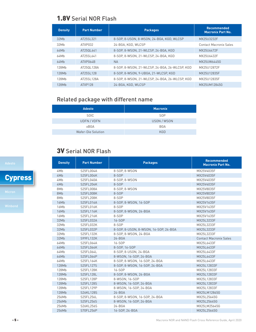# 1.8V Serial NOR Flash

| <b>Density</b> | <b>Part Number</b> | <b>Packages</b>                                | <b>Recommended</b><br><b>Macronix Part No.</b> |
|----------------|--------------------|------------------------------------------------|------------------------------------------------|
| 32Mb           | AT25SL321          | 8-SOP, 8-USON, 8-WSON, 24-BGA, KGD, WLCSP      | MX25U3232F                                     |
| 32Mb           | ATXP032            | 24-BGA, KGD, WLCSP                             | <b>Contact Macronix Sales</b>                  |
| 64Mb           | AT250L641          | 8-SOP. 8-WSON. 21-WLCSP. 24-BGA. KGD           | MX25U6472F                                     |
| 64Mb           | AT25SL641          | 8-SOP, 8-WSON, 21-WLCSP, 24-BGA, KGD           | MX25U6432F                                     |
| 64Mb           | ATXP064B           | <b>NA</b>                                      | MX25UW6445G                                    |
| 128Mb          | AT250L128A         | 8-SOP. 8-WSON. 21-WLCSP. 24-BGA. 26-WLCSP. KGD | MX25U12872F                                    |
| 128Mb          | AT25SL128          | 8-SOP. 8-WSON. 9-UBGA. 21-WLCSP. KGD           | MX25U12835F                                    |
| 128Mh          | AT25SL128A         | 8-SOP. 8-WSON. 21-WLCSP. 24-BGA. 26-WLCSP. KGD | MX25U12835F                                    |
| 128Mb          | ATXP128            | 24-BGA, KGD, WLCSP                             | MX25UM12845G                                   |

# Related package with different name

| <b>Adesto</b>             | <b>Macronix</b> |
|---------------------------|-----------------|
| <b>SOIC</b>               | <b>SOP</b>      |
| UDFN / VDFN               | USON / WSON     |
| xBGA                      | <b>BGA</b>      |
| <b>Wafer-Die Solution</b> | <b>KGD</b>      |

# 3V Serial NOR Flash

| <b>Density</b> | <b>Part Number</b> | <b>Packages</b>                       | <b>Recommended</b><br><b>Macronix Part No.</b> |
|----------------|--------------------|---------------------------------------|------------------------------------------------|
| 4Mb            | S25FL004A          | 8-SOP, 8-WSON                         | MX25V4035F                                     |
| 4Mb            | S25FL004K          | 8-SOP                                 | MX25V4035F                                     |
| 4Mb            | S25FL040A          | 8-SOP, 8-WSON                         | MX25V4035F                                     |
| 4Mb            | S25FL204K          | 8-SOP                                 | MX25V4035F                                     |
| 8Mb            | S25FL008A          | 8-SOP, 8-WSON                         | MX25V8035F                                     |
| 8Mb            | S25FL008K          | 8-SOP                                 | MX25V8035F                                     |
| 8Mb            | S25FL208K          | 8-SOP                                 | MX25V8035F                                     |
| 16Mb           | S25FL016A          | 8-S0P, 8-WS0N, 16-S0P                 | MX25V1635F                                     |
| 16Mb           | S25FL016K          | 8-SOP                                 | MX25V1635F                                     |
| 16Mb           | S25FL116K          | 8-SOP, 8-WSON, 24-BGA                 | MX25V1635F                                     |
| 16Mb           | S25FL216K          | 8-SOP                                 | MX25V1635F                                     |
| 32Mb           | S25FL032A          | 16-SOP                                | MX25L3233F                                     |
| 32Mb           | S25FL032K          | 8-SOP                                 | MX25L3233F                                     |
| 32Mb           | S25FL032P          | 8-SOP, 8-USON, 8-WSON, 16-SOP, 24-BGA | MX25L3233F                                     |
| 32Mb           | S25FL132K          | 8-SOP, 8-WSON, 24-BGA                 | MX25L3233F                                     |
| 32Mb           | S99FL132K          | $24 - BGA$                            | <b>Contact Macronix Sales</b>                  |
| 64Mb           | S25FL064A          | 16-SOP                                | MX25L6433F                                     |
| 64Mb           | S25FL064K          | 8-S0P, 16-S0P                         | MX25L6433F                                     |
| 64Mb           | S25FL064L          | 8-SOP, 8-USON, 24-BGA                 | MX25L6433F                                     |
| 64Mb           | S25FL064P          | 8-WSON, 16-SOP, 24-BGA                | MX25L6433F                                     |
| 64Mb           | S25FL164K          | 8-SOP, 8-WSON, 16-SOP, 24-BGA         | MX25L6433F                                     |
| 128Mb          | S25FL127S          | 8-SOP, 8-WSON, 16-SOP, 24-BGA         | MX25L12833F                                    |
| 128Mb          | S25FL128K          | 16-SOP                                | MX25L12833F                                    |
| 128Mb          | S25FL128L          | 8-SOP, 8-WSON, 24-BGA                 | MX25L12833F                                    |
| 128Mb          | S25FL128P          | 8-WSON, 16-SOP                        | MX25L12833F                                    |
| 128Mb          | S25FL128S          | 8-WSON, 16-SOP, 24-BGA                | MX25L12833F                                    |
| 128Mb          | S25FL129P          | 8-WSON, 16-SOP, 24-BGA                | MX25L12833F                                    |
| 128Mb          | S26KL128S          | $24 - BGA$                            | MX25LM12845G                                   |
| 256Mb          | S25FL256L          | 8-SOP, 8-WSON, 16-SOP, 24-BGA         | MX25L25645G                                    |
| 256Mb          | S25FL256S          | 8-WSON, 16-SOP, 24-BGA                | MX25L25645G                                    |
| 256Mb          | S26KL256S          | $24 - BGA$                            | MX25LM25645G                                   |
| 256Mb          | S70FL256P          | 16-SOP. 24-BGA                        | MX25L25645G                                    |

# **Cypress**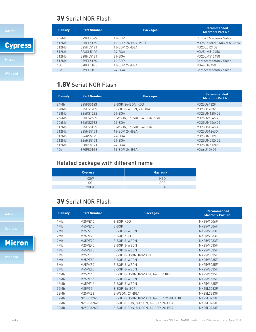# 3V Serial NOR Flash

**Cypress** 

| <b>Contact Macronix Sales</b><br>256Mb<br>S79FL256S<br>$16-SDP$<br>MX25L51245G, MX25L51237G<br>S25FL512S<br>512Mb<br>16-SOP, 24-BGA, KGD<br>S25HI 512T<br>16-SOP. 24-BGA.<br>MX25L51245G<br>512Mb |
|---------------------------------------------------------------------------------------------------------------------------------------------------------------------------------------------------|
|                                                                                                                                                                                                   |
|                                                                                                                                                                                                   |
|                                                                                                                                                                                                   |
| 512Mb<br>S26KL512S<br>$24 - BGA$<br>MX25LM51245G                                                                                                                                                  |
| S28HI 512T<br>512Mb<br>$24 - BGA$<br>MX25LM51245G                                                                                                                                                 |
| S79FL512S<br>16-SOP<br>512Mb<br><b>Contact Macronix Sales</b>                                                                                                                                     |
| S70FL01GS<br>1Gb<br>16-SOP. 24-BGA<br>MX66L1G45G                                                                                                                                                  |
| S79FL01GS<br>1G <sub>b</sub><br>$24 - BGA$<br><b>Contact Macronix Sales</b>                                                                                                                       |

# 1.8V Serial NOR Flash

| <b>Density</b> | <b>Part Number</b> | <b>Packages</b>             | <b>Recommended</b><br><b>Macronix Part No.</b> |
|----------------|--------------------|-----------------------------|------------------------------------------------|
| 64Mb           | S25FS064S          | 8-SOP, 24-BGA, KGD          | MX25U6432F                                     |
| 128Mb          | S25FS128S          | 8-S0P. 8-WSON. 24-BGA       | MX25U12832F                                    |
| 128Mb          | S26KS128S          | $24 - BGA$                  | MX25UM12845G                                   |
| 256Mh          | S25FS256S          | 8-WSON, 16-SOP, 24-BGA, KGD | MX25U25645G                                    |
| 256Mb          | S26KS256S          | $24 - BGA$                  | MX25UM25645G                                   |
| 512Mb          | S25FS512S          | 8-WSON, 16-SOP, 24-BGA      | MX25U51245G                                    |
| 512Mb          | S25HS512T          | 16-SOP, 24-BGA,             | MX25U51245G                                    |
| 512Mb          | S26KS512S          | $24 - BGA$                  | MX25UM51245G                                   |
| 512Mb          | S26HS512T          | $24 - BGA$                  | MX25UM51245G                                   |
| 512Mb          | S28HS512T          | $24 - BGA$                  | MX25UM51245G                                   |
| 1Gb            | S70FS01GS          | 16-SOP. 24-BGA              | MX66U1G45G                                     |

# Related package with different name

| <b>Cypress</b> | <b>Macronix</b> |
|----------------|-----------------|
| <b>KGW</b>     | <b>KGD</b>      |
| S0             | <b>SOP</b>      |
| <b>xBGA</b>    | <b>BGA</b>      |

# 3V Serial NOR Flash

| <b>Density</b> | <b>Part Number</b> | <b>Packages</b>                            | <b>Recommended</b><br><b>Macronix Part No.</b> |
|----------------|--------------------|--------------------------------------------|------------------------------------------------|
| 1Mb            | M25PE10            | 8-SOP, KGD                                 | MX25V1006F                                     |
| 1Mb            | M45PE10            | 8-SOP                                      | MX25V1006F                                     |
| 2Mb            | M25P20             | 8-S0P, 8-WS0N                              | MX25V2033F                                     |
| 2Mb            | M25PE20            | 8-SOP, KGD                                 | MX25V2033F                                     |
| 2Mb            | M45PE20            | 8-S0P, 8-WS0N                              | MX25V2033F                                     |
| 4Mb            | M25PE40            | 8-S0P, 8-WS0N                              | MX25V4035F                                     |
| 4Mb            | M45PE40            | 8-S0P, 8-WS0N                              | MX25V4035F                                     |
| 8Mb            | M25P80             | 8-SOP, 8-USON, 8-WSON                      | MX25V8035F                                     |
| 8Mb            | M25PE80            | 8-S0P, 8-WS0N                              | MX25V8035F                                     |
| 8Mb            | M25PX80            | 8-SOP, 8-WSON                              | MX25V8035F                                     |
| 8Mb            | M45PE80            | 8-S0P, 8-WS0N                              | MX25V8035F                                     |
| 16Mb           | M25P16             | 8-SOP, 8-USON, 8-WSON, 16-SOP, KGD         | MX25V1635F                                     |
| 16Mb           | M25PE16            | 8-S0P, 8-WS0N                              | MX25V1635F                                     |
| 16Mb           | M45PE16            | 8-S0P. 8-WS0N                              | MX25V1635F                                     |
| 32Mb           | M25P32             | 8-SOP, 16-SOP                              | MX25L3233F                                     |
| 32Mb           | M25PX32            | 8-WSON, 24-BGA                             | MX25L3233F                                     |
| 32Mb           | N25Q032A13         | 8-SOP, 8-USON, 8-WSON, 16-SOP, 24-BGA, KGD | MX25L3233F                                     |
| 32Mb           | N25Q032A23         | 8-SOP, 8-SON, 8-USON, 16-SOP, 24-BGA       | MX25L3233F                                     |
| 32Mb           | N25Q032A33         | 8-SOP, 8-SON, 8-USON, 16-SOP, 24-BGA       | MX25L3233F                                     |

Micron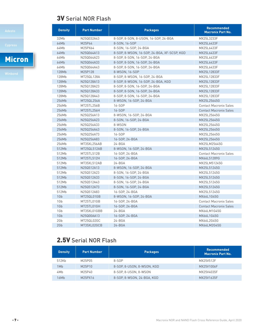# 3V Serial NOR Flash

# Micron

| <b>Density</b> | <b>Part Number</b> | <b>Packages</b>                             | <b>Recommended</b><br><b>Macronix Part No.</b> |
|----------------|--------------------|---------------------------------------------|------------------------------------------------|
| 32Mb           | N25Q032A43         | 8-SOP, 8-SON, 8-USON, 16-SOP, 24-BGA        | MX25L3233F                                     |
| 64Mb           | M25P64             | 8-SON, 16-SOP                               | MX25L6433F                                     |
| 64Mb           | M25PX64            | 8-SON, 16-SOP, 24-BGA                       | MX25L6433F                                     |
| 64Mb           | N25Q064A13         | 8-SOP, 8-WSON, 16-SOP, 24-BGA, XF-SCSP, KGD | MX25L6433F                                     |
| 64Mb           | N25Q064A23         | 8-SOP, 8-SON, 16-SOP, 24-BGA                | MX25L6433F                                     |
| 64Mb           | N25Q064A33         | 8-SOP, 8-SON, 16-SOP, 24-BGA                | MX25L6433F                                     |
| 64Mb           | N25Q064A43         | 8-SOP, 8-SON, 16-SOP, 24-BGA                | MX25L6433F                                     |
| 128Mb          | M25P128            | 8-WSON, 16-SOP                              | MX25L12833F                                    |
| 128Mb          | MT25QL128A         | 8-SOP, 8-WSON, 16-SOP, 24-BGA               | MX25L12833F                                    |
| 128Mb          | N25Q128A13         | 8-SOP, 8-WSON, 16-SOP, 24-BGA, KGD          | MX25L12833F                                    |
| 128Mb          | N25Q128A23         | 8-SOP, 8-SON, 16-SOP, 24-BGA                | MX25L12833F                                    |
| 128Mb          | N25Q128A33         | 8-SOP, 8-SON, 16-SOP, 24-BGA                | MX25L12833F                                    |
| 128Mb          | N25Q128A43         | 8-SOP, 8-SON, 16-SOP, 24-BGA                | MX25L12833F                                    |
| 256Mb          | MT25QL256A         | 8-WSON, 16-SOP, 24-BGA                      | MX25L25645G                                    |
| 256Mb          | MT25TL256B         | 16-SOP                                      | <b>Contact Macronix Sales</b>                  |
| 256Mb          | MT25TL256H         | 16-SOP                                      | <b>Contact Macronix Sales</b>                  |
| 256Mb          | N25Q256A13         | 8-WSON, 16-SOP, 24-BGA                      | MX25L25645G                                    |
| 256Mb          | N25Q256A23         | 8-SON, 16-SOP, 24-BGA                       | MX25L25645G                                    |
| 256Mb          | N25Q256A33         | 8-WSON                                      | MX25L25645G                                    |
| 256Mb          | N25Q256A43         | 8-SON, 16-SOP, 24-BGA                       | MX25L25645G                                    |
| 256Mb          | N25Q256A73         | 16-SOP                                      | MX25L25645G                                    |
| 256Mb          | N25Q256A83         | 16-SOP, 24-BGA                              | MX25L25645G                                    |
| 256Mb          | MT35XL256AB        | 24-BGA                                      | MX25LM25645G                                   |
| 512Mb          | MT25QL512AB        | 8-WSON, 16-SOP, 24-BGA                      | MX25L51245G                                    |
| 512Mb          | MT25TL512B         | 16-SOP, 24-BGA                              | <b>Contact Macronix Sales</b>                  |
| 512Mb          | MT25TL512H         | 16-SOP, 24-BGA                              | MX66L51289G                                    |
| 512Mb          | MT35XL512AB        | 24-BGA                                      | MX25LM51245G                                   |
| 512Mb          | N25Q512A13         | 8-WSON, 16-SOP, 24-BGA                      | MX25L51245G                                    |
| 512Mb          | N25Q512A23         | 8-SON, 16-SOP, 24-BGA                       | MX25L51245G                                    |
| 512Mb          | N25Q512A33         | 8-SON, 16-SOP, 24-BGA                       | MX25L51245G                                    |
| 512Mb          | N25Q512A43         | 8-SON, 16-SOP, 24-BGA                       | MX25L51245G                                    |
| 512Mb          | N25Q512A73         | 8-SON, 16-SOP, 24-BGA                       | MX25L51245G                                    |
| 512Mb          | N25Q512A83         | 16-SOP, 24-BGA                              | MX25L51245G                                    |
| 1Gb            | MT25QL01GB         | 8-WSON, 16-SOP, 24-BGA                      | MX66L1G45G                                     |
| 1Gb            | MT25TL01GB         | 16-SOP, 24-BGA                              | <b>Contact Macronix Sales</b>                  |
| 1Gb            | MT25TL01GH         | 16-SOP, 24-BGA                              | <b>Contact Macronix Sales</b>                  |
| 1Gb            | MT35XL01GBB        | $24 - BGA$                                  | MX66LM1G45G                                    |
| 1Gb            | N25Q00AA13         | 16-SOP, 24-BGA                              | MX66L1G45G                                     |
| 2Gb            | MT25QL02GC         | 24-BGA                                      | MX66L2G45G                                     |
| 2Gb            | MT35XL02GCB        | $24 - BGA$                                  | MX66LM2G45G                                    |
|                |                    |                                             |                                                |

# 2.5V Serial NOR Flash

| <b>Density</b> | <b>Part Number</b> | <b>Packages</b>            | <b>Recommended</b><br><b>Macronix Part No.</b> |
|----------------|--------------------|----------------------------|------------------------------------------------|
| 512Kb          | M25P05             | 8-SOP                      | MX25V512F                                      |
| 1Mb            | M25P10             | 8-SOP. 8-USON. 8-WSON. KGD | MX25V1006F                                     |
| 4Mb            | M25P40             | 8-S0P, 8-USON, 8-WSON      | MX25V4035F                                     |
| 16Mb           | M25PX16            | 8-SOP, 8-WSON, 24-BGA, KGD | MX25V1635F                                     |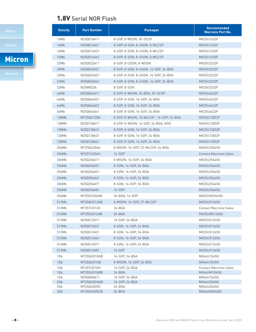# 1.8V Serial NOR Flash

# Micron

| <b>Density</b> | <b>Part Number</b>        | <b>Packages</b>                         | <b>Recommended</b><br><b>Macronix Part No.</b> |
|----------------|---------------------------|-----------------------------------------|------------------------------------------------|
| 16Mb           | N25Q016A11                | 8-SOP, 8-WSON, XF-SCSP                  | MX25U1633F                                     |
| 16Mb           | N25Q016A21                | 8-SOP, 8-SON, 8-USON, 8-WLCSP           | MX25U1633F                                     |
| 16Mb           | N25Q016A31                | 8-SOP, 8-SON, 8-USON, 8-WLCSP           | MX25U1633F                                     |
| 16Mb           | N25Q016A41                | 8-SOP, 8-SON, 8-USON, 8-WLCSP           | MX25U1633F                                     |
| 32Mb           | N25Q032A11                | 8-S0P, 8-US0N, 8-WS0N                   | MX25U3232F                                     |
| 32Mb           | N25Q032A21                | 8-SOP, 8-SON, 8-USON, 16-SOP, 24-BGA    | MX25U3232F                                     |
| 32Mb           | N25Q032A31                | 8-SOP, 8-SON, 8-USON, 16-SOP, 24-BGA    | MX25U3232F                                     |
| 32Mb           | N25Q032A41                | 8-SOP, 8-SON, 8-USON, 16-SOP, 24-BGA    | MX25U3232F                                     |
| 32Mb           | N25W032A                  | 8-S0P, 8-S0N                            | MX25U3232F                                     |
| 64Mb           | N25Q064A11                | 8-SOP, 8-WSON, 24-BGA, XF-SCSP          | MX25U6432F                                     |
| 64Mb           | N25Q064A21                | 8-SOP, 8-SON, 16-SOP, 24-BGA            | MX25U6432F                                     |
| 64Mb           | N25Q064A31                | 8-SOP, 8-SON, 16-SOP, 24-BGA            | MX25U6432F                                     |
| 64Mb           | N25Q064A41                | 8-SOP, 8-SON, 16-SOP, 24-BGA            | MX25U6432F                                     |
| 128Mb          | MT25QU128A                | 8-SOP, 8-WSON, 15-WLCSP, 16-SOP, 24-BGA | MX25U12832F                                    |
| 128Mb          | N25Q128A11                | 8-SOP, 8-WSON, 16-SOP, 24-BGA, KGD      | MX25U12832F                                    |
| 128Mb          | N25Q128A21                | 8-SOP, 8-SON, 16-SOP, 24-BGA            | MX25U12832F                                    |
| 128Mb          | N25Q128A31                | 8-SOP. 8-SON. 16-SOP. 24-BGA            | MX25U12832F                                    |
| 128Mb          | N25Q128A41                | 8-S0P, 8-S0N, 16-S0P, 24-BGA            | MX25U12832F                                    |
| 256Mb          | MT25QU256A                | 8-WSON, 16-SOP, 23-WLCSP, 24-BGA        | MX25U25645G                                    |
| 256Mb          | MT25TU256H                | 16-SOP                                  | <b>Contact Macronix Sales</b>                  |
| 256Mb          | N25Q256A11                | 8-WSON, 16-SOP, 24-BGA                  | MX25U25645G                                    |
| 256Mb          | N25Q256A21                | 8-SON, 16-SOP, 24-BGA                   | MX25U25645G                                    |
| 256Mb          | N25Q256A31                | 8-SON, 16-SOP, 24-BGA                   | MX25U25645G                                    |
| 256Mb          | N25Q256A41                | 8-SON, 16-SOP, 24-BGA                   | MX25U25645G                                    |
| 256Mb          | N25Q256A71                | 8-SON, 16-SOP, 24-BGA                   | MX25U25645G                                    |
| 256Mb          | N25Q256A81                | 16-SOP                                  | MX25U25645G                                    |
| 256Mb          | MT35XU256AB               | 24-BGA, 16-SOP                          | MX25UM25645G                                   |
| 512Mb          | MT25QU512AB               | 8-WSON, 16-SOP, 27-WLCSP                | MX25U51245G                                    |
| 512Mb          | MT25TU512H                | 24-BGA                                  | <b>Contact Macronix Sales</b>                  |
| 512Mb          | MT35XU512AB               | $24 - BGA$                              | MX25UM51245G                                   |
| 512Mb          | N25Q512A11                | 16-SOP, 24-BGA                          | MX25U51245G                                    |
| 512Mb          | N25Q512A21                | 8-SON, 16-SOP, 24-BGA                   | MX25U51245G                                    |
| 512Mb          | N25Q512A31                | 8-SON, 16-SOP, 24-BGA                   | MX25U51245G                                    |
| 512Mb          | N25Q512A41                | 8-SON, 16-SOP, 24-BGA                   | MX25U51245G                                    |
| 512Mb          | N25Q512A71                | 8-SON, 16-SOP, 24-BGA                   | MX25U51245G                                    |
| 512Mb          | N25Q512A81                | 16-SOP                                  | MX25U51245G                                    |
| 1Gb            | MT25QU01GAB               | 16-SOP, 24-BGA                          | MX66U1G45G                                     |
| 1Gb            | MT25QU01GB                | 8-WSON, 16-SOP, 24-BGA                  | MX66U1G45G                                     |
| 1Gb            | MT25TU01GH                | 16-SOP, 24-BGA                          | <b>Contact Macronix Sales</b>                  |
| 1Gb<br>1Gb     | MT35XU01GBB<br>N25Q00AA11 | 24-BGA<br>16-SOP, 24-BGA                | MX66UM1G45G<br>MX66U1G45G                      |
| 2Gb            | MT25QU02GAB               | 16-SOP, 24-BGA                          | MX66U2G45G                                     |
| 2Gb            | MT25QU02GC                | 24-BGA                                  | MX66U2G45G                                     |
| 2Gb            | MT35XU02GCB               | 24-BGA                                  | MX66UM2G45G                                    |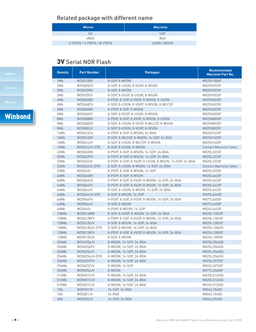# Related package with different name

| <b>Micron</b>            | <b>Macronix</b> |
|--------------------------|-----------------|
| S0                       | S <sub>OP</sub> |
| xBGA                     | <b>BGA</b>      |
| U-PDFN / V-PDFN / W-PDFN | USON / WSON     |

# 3V Serial NOR Flash

| <b>Density</b> | <b>Part Number</b> | <b>Packages</b>                                       | <b>Recommended</b><br><b>Macronix Part No.</b> |
|----------------|--------------------|-------------------------------------------------------|------------------------------------------------|
| 1Mb            | W25X10BV           | 8-SOP, 8-WSON                                         | MX25V1006F                                     |
| 2Mb            | W25Q20CV           | 8-SOP, 8-USON, 8-VSOP, 8-WSON                         | MX25V2033F                                     |
| 2Mb            | W25X20BV           | 8-SOP, 8-WSON                                         | MX25V2033F                                     |
| 2Mb            | W25X20CV           | 8-SOP, 8-VSOP, 8-USON, 8-WSON                         | MX25V2033F                                     |
| 4Mb            | W25Q40BV           | 8-PDIP, 8-SOP, 8-VSOP, 8-WSON, 8-USON                 | MX25V4035F                                     |
| 4Mb            | W25Q40CV           | 8-SOP, 8-USON, 8-VSOP, 8-WSON, 8-WLCSP                | MX25V4035F                                     |
| 4Mb            | W25X40BV           | 8-PDIP, 8-SOP, 8-WSON                                 | MX25V4035F                                     |
| 4Mb            | W25X40CV           | 8-SOP, 8-VSOP, 8-USON, 8-WSON                         | MX25V4035F                                     |
| 8Mb            | W25Q80BV           | 8-PDIP, 8-SOP, 8-VSOP, 8-WSON, 8-USON                 | MX25V8035F                                     |
| 8Mb            | W25Q80DV           | 8-SOP, 8-USON, 8-VSOP, 8-WLCSP, 8-WSON                | MX25V8035F                                     |
| 8Mb            | W25Q80JV           | 8-SOP, 8-USON, 8-VSOP, 8-WSON                         | MX25V8035F                                     |
| 16Mb           | W25Q16CV           | 8-PDIP, 8-SOP, 8-WSON, 24-BGA                         | MX25V1635F                                     |
| 16Mb           | W25Q16DV           | 8-SOP, 8-WLCSP, 8-WSON, 16-SOP, 24-BGA                | MX25V1635F                                     |
| 16Mb           | W25Q16JV           | 8-SOP, 8-USON, 8-WLCSP, 8-WSON                        | MX25V1635F                                     |
| 16Mb           | W25Q16JV-DTR       | 8-SOP, 8-USON, 8-WSON                                 | <b>Contact Macronix Sales</b>                  |
| 32Mb           | W25Q32BV           | 8-PDIP, 8-SOP, 8-WSON, 16-SOP, 24-BGA                 | MX25L3233F                                     |
| 32Mb           | W25Q32FV           | 8-PDIP, 8-SOP, 8-WSON, 16-SOP, 24-BGA                 | MX25L3233F                                     |
| 32Mb           | W25Q32JV           | 8-PDIP, 8-SOP, 8-VSOP, 8-USON, 8-WSON, 16-SOP, 24-BGA | MX25L3233F                                     |
| 32Mb           | W25Q32JV-DTR       | 8-SOP, 8-USON, 8-WSON, 16-SOP, 24-BGA                 | <b>Contact Macronix Sales</b>                  |
| 32Mb           | W25X32V            | 8-PDIP, 8-SOP, 8-WSON, 16-SOP                         | MX25L3233F                                     |
| 64Mb           | W25Q64BV           | 8-PDIP, 8-SOP, 8-WSON                                 | MX25L6433F                                     |
| 64Mb           | W25Q64CV           | 8-PDIP, 8-SOP, 8-VSOP, 8-WSON, 16-SOP, 24-BGA         | MX25L6433F                                     |
| 64Mb           | W25Q64FV           | 8-PDIP, 8-SOP, 8-VSOP, 8-WSON, 16-SOP, 24-BGA         | MX25L6433F                                     |
| 64Mb           | W25Q64JV           | 8-SOP, 8-USON, 8-WSON, 16-SOP, 24-BGA                 | MX25L6433F                                     |
| 64Mb           | W25Q64JV-DTR       | 8-SOP, 8-WSON, 16-SOP                                 | MX25L6445E                                     |
| 64Mb           | <b>W25R64FV</b>    | 8-PDIP, 8-SOP, 8-VSOP, 8-WSON, 16-SOP, 24-BGA         | MX77L6450F                                     |
| 64Mb           | <b>W25R64JV</b>    | 8-SOP, 8-WSON                                         | MX77L6450F                                     |
| 64Mb           | W25X64V            | 8-PDIP, 8-WSON, 16-SOP                                | MX25L6433F                                     |
| 128Mb          | W25Q128BV          | 8-SOP, 8-VSOP, 8-WSON, 16-SOP, 24-BGA                 | MX25L12833F                                    |
| 128Mb          | W25Q128FV          | 8-PDIP, 8-SOP, 8-VSOP, 8-WSON, 16-SOP, 24-BGA         | MX25L12833F                                    |
| 128Mb          | W25Q128JV          | 8-SOP, 8-WSON, 16-SOP, 24-BGA                         | MX25L12833F                                    |
| 128Mb          | W25Q128JV-DTR      | 8-SOP, 8-WSON, 16-SOP, 24-BGA                         | MX25L12845G                                    |
| 128Mb          | W25R128FV          | 8-PDIP, 8-SOP, 8-VSOP, 8-WSON, 16-SOP, 24-BGA         | MX25L12850F                                    |
| 128Mb          | W25R128JV          | 8-SOP, 8-WSON                                         | MX25L12850F                                    |
| 256Mb          | W25H256JV          | 8-WSON, 16-SOP, 24-BGA                                | MX25L25645G                                    |
| 256Mb          | W25Q256FV          | 8-WSON, 16-SOP, 24-BGA                                | MX25L25645G                                    |
| 256Mb          | W25Q256JV          | 8-WSON, 16-SOP, 24-BGA                                | MX25L25645G                                    |
| 256Mb          | W25Q256JV-DTR      | 8-WSON, 16-SOP, 24-BGA                                | MX25L25645G                                    |
| 256Mb          | W25Q257FV          | 8-WSON, 16-SOP, 24-BGA                                | MX25L25733F                                    |
| 256Mb          | W25Q257JV          | 8-WSON, 16-SOP                                        | MX25L25733F                                    |
| 256Mb          | W25R256JV          | 8-WSON                                                | MX77L25650F                                    |
| 512Mb          | W25H512JV          | 8-WSON, 16-SOP, 24-BGA                                | MX25L51245G                                    |
| 512Mb          | W25M512JV          | 8-WSON, 16-SOP, 24-BGA                                | MX25L51245G                                    |
| 512Mb          | W25Q512JV          | 8-WSON, 16-SOP, 24-BGA                                | MX25L51245G                                    |
| 1Gb            | W25H01JV           | 16-SOP, 24-BGA                                        | MX66L1G45G                                     |
| 1Gb            | W25Q01JV           | 24-BGA                                                | MX66L1G45G                                     |
| 2Gb            | W25H02JV           | 16-SOP, 24-BGA                                        | MX66L2G45G                                     |

**Winbond**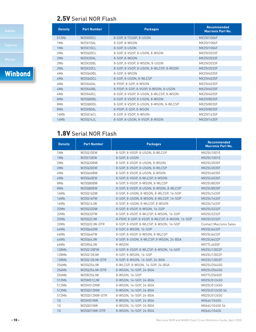# 2.5V Serial NOR Flash

| <b>Density</b> | <b>Part Number</b> | <b>Packages</b>                        | <b>Recommended</b><br><b>Macronix Part No.</b> |
|----------------|--------------------|----------------------------------------|------------------------------------------------|
| 512Kb          | W25X05CL           | 8-SOP, 8-TSSOP, 8-USON                 | MX25V1006F                                     |
| 1Mb            | <b>W25X10AL</b>    | 8-SOP, 8-WSON                          | MX25V1006F                                     |
| 1Mb            | W25X10CL           | 8-S0P, 8-US0N                          | MX25V1006F                                     |
| 2Mb            | W25Q20CL           | 8-SOP, 8-VSOP, 8-USON, 8-WSON          | MX25V2033F                                     |
| 2Mb            | <b>W25X20AL</b>    | 8-SOP, 8-WSON                          | MX25V2033F                                     |
| 2Mb            | W25X20BL           | 8-SOP, 8-VSOP, 8-WSON, 8-USON          | MX25V2033F                                     |
| 2Mb            | W25X20CL           | 8-SOP, 8-VSOP, 8-USON, 8-WLCSP, 8-WSON | MX25V2033F                                     |
| 4Mb            | W25Q40BL           | 8-S0P. 8-WS0N                          | MX25V4035F                                     |
| 4Mb            | W25Q40CL           | 8-SOP, 8-USON, 8-WLCSP                 | MX25V4035F                                     |
| 4Mb            | <b>W25X40AL</b>    | 8-PDIP, 8-SOP, 8-WSON                  | MX25V4035F                                     |
| 4Mb            | W25X40BL           | 8-PDIP, 8-SOP, 8-VSOP, 8-WSON, 8-USON  | MX25V4035F                                     |
| 4Mb            | W25X40CL           | 8-SOP, 8-VSOP, 8-USON, 8-WLCSP, 8-WSON | MX25V4035F                                     |
| 8Mb            | W25Q80BL           | 8-SOP, 8-VSOP, 8-USON, 8-WSON          | MX25V8035F                                     |
| 8Mb            | W25Q80DL           | 8-SOP, 8-VSOP, 8-USON, 8-WSON, 8-WLCSP | MX25V8035F                                     |
| 8Mb            | <b>W25X80AL</b>    | 8-PDIP, 8-SOP, 8-WSON                  | MX25V8035F                                     |
| 16Mb           | W25Q16CL           | 8-S0P, 8-VS0P, 8-WS0N                  | MX25V1635F                                     |
| 16Mb           | W25Q16JL           | 8-SOP, 8-USON, 8-VSOP, 8-WSON          | MX25V1635F                                     |

# 1.8V Serial NOR Flash

| <b>Density</b>  | <b>Part Number</b> | <b>Packages</b>                                | <b>Recommended</b><br><b>Macronix Part No.</b> |
|-----------------|--------------------|------------------------------------------------|------------------------------------------------|
| 1M <sub>b</sub> | W25Q10EW           | 8-SOP, 8-VSOP, 8-USON, 8-WLCSP                 | MX25U1001E                                     |
| 1Mb             | W25X10EW           | 8-SOP, 8-USON                                  | MX25U1001E                                     |
| 2Mb             | W25Q20BW           | 8-SOP. 8-VSOP. 8-USON. 8-WSON                  | MX25U2035F                                     |
| 2Mb             | W25Q20EW           | 8-SOP, 8-VSOP, 8-USON, 8-WLCSP                 | MX25U2035F                                     |
| 4Mb             | W25Q40BW           | 8-SOP, 8-VSOP, 8-USON, 8-WSON                  | MX25U4035F                                     |
| 4Mb             | W25Q40EW           | 8-SOP, 8-VSOP, 8-WLCSP, 8-WSON                 | MX25U4035F                                     |
| 8Mb             | W25Q80BW           | 8-SOP, 8-VSOP, 8-WSON, 8-WLCSP                 | MX25U8035F                                     |
| 8Mb             | W25Q80EW           | 8-SOP, 8-VSOP, 8-USON, 8-WSON, 8-WLCSP         | MX25U8035F                                     |
| 16Mb            | W25Q16DW           | 8-SOP. 8-USON. 8-WSON. 8-WLCSP. 16-SOP         | MX25U1633F                                     |
| 16Mb            | W25Q16FW           | 8-SOP, 8-USON, 8-WSON, 8-WLCSP, 16-SOP         | MX25U1633F                                     |
| 16Mb            | W25Q16JW           | 8-SOP. 8-USON. 8-WLCSP. 8-WSON.                | MX25U1633F                                     |
| 32Mb            | W25Q32DW           | 8-SOP, 8-VSOP, 8-WSON, 16-SOP                  | MX25U3232F                                     |
| 32Mb            | W25Q32FW           | 8-SOP, 8-VSOP, 8-WLCSP, 8-WSON, 16-SOP         | MX25U3232F                                     |
| 32Mb            | W25Q32JW           | 8-PDIP, 8-SOP, 8-VSOP, 8-WLCSP, 8-WSON, 16-SOP | MX25U3232F                                     |
| 32Mb            | W25Q32JW-DTR       | 8-SOP, 8-VSOP, 8-WLCSP, 8-WSON, 16-SOP         | <b>Contact Macronix Sales</b>                  |
| 64Mb            | W25Q64DW           | 8-S0P, 8-WS0N, 16-S0P                          | MX25U6432F                                     |
| 64Mb            | W25Q64FW           | 8-SOP, 8-VSOP, 8-WSON, 8-WLCSP                 | MX25U6432F                                     |
| 64Mb            | W25Q64JW           | 8-SOP, 8-USON, 8-WLCSP, 8-WSON, 24-BGA         | MX25U6432F                                     |
| 64Mb            | W25R64JW           | 8-WSON                                         | MX77L6450F                                     |
| 128Mb           | W25Q128FW          | 8-SOP, 8-VSOP, 8-WLCSP, 8-WSON, 16-SOP         | MX25U12832F                                    |
| 128Mb           | W25Q128JW          | 8-SOP, 8-WSON, 16-SOP                          | MX25U12832F                                    |
| 128Mb           | W25Q128JW-DTR      | 8-SOP, 8-WSON, 16-SOP, 24-BGA                  | MX25U12832F                                    |
| 256Mb           | W25Q256JW          | 8-WLCSP, 8-WSON, 16-SOP, 24-BGA                | MX25U25645G                                    |
| 256Mb           | W25Q256JW-DTR      | 8-WSON, 16-SOP, 24-BGA                         | MX25U25645G                                    |
| 256Mb           | W25R256JW          | 8-WSON, 16-SOP                                 | MX77U25650F                                    |
| 512Mb           | W25M512JW          | 8-WSON, 16-SOP, 24-BGA                         | MX25U51245G                                    |
| 512Mb           | W25H512NW          | 8-WSON, 16-SOP, 24-BGA                         | MX25U51245G                                    |
| 512Mb           | W25Q512NW          | 8-WSON, 16-SOP, 24-BGA                         | MX25U51245G 54                                 |
| 512Mb           | W25Q512NW-DTR      | 8-WSON, 16-SOP, 24-BGA                         | MX25U51245G                                    |
| 1G              | W25H01NW           | 8-WSON, 16-SOP, 24-BGA                         | MX66U1G45G                                     |
| 1G              | W25Q01NW           | 8-WSON, 16-SOP, 24-BGA                         | MX66U1G45G 54                                  |
| 1G              | W25Q01NW-DTR       | 8-WSON, 16-SOP, 24-BGA                         | MX66U1G45G                                     |

**Winbond**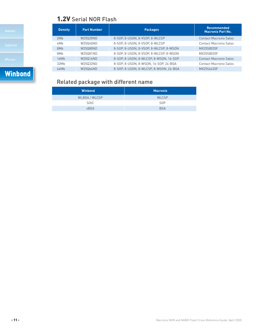# 1.2V Serial NOR Flash

| Adesto         |  |
|----------------|--|
| <b>Cypress</b> |  |
| Micron         |  |
| Winbond        |  |

| <b>Density</b> | <b>Part Number</b> | <b>Packages</b>                        | <b>Recommended</b><br><b>Macronix Part No.</b> |
|----------------|--------------------|----------------------------------------|------------------------------------------------|
| 2Mb            | W25020ND           | 8-SOP, 8-USON, 8-VSOP, 8-WLCSP         | <b>Contact Macronix Sales</b>                  |
| 4Mb            | W25040ND           | 8-SOP, 8-USON, 8-VSOP, 8-WLCSP         | <b>Contact Macronix Sales</b>                  |
| 8Mb            | W25080ND           | 8-SOP, 8-USON, 8-VSOP, 8-WLCSP, 8-WSON | MX25S8035F                                     |
| 8Mb            | W25081ND           | 8-SOP, 8-USON, 8-VSOP, 8-WLCSP, 8-WSON | MX25S8035F                                     |
| 16Mb           | W25016ND           | 8-SOP, 8-USON, 8-WLCSP, 8-WSON, 16-SOP | <b>Contact Macronix Sales</b>                  |
| 32Mb           | W25032ND           | 8-SOP, 8-USON, 8-WSON, 16-SOP, 24-BGA  | <b>Contact Macronix Sales</b>                  |
| 64Mb           | W25064ND           | 8-SOP. 8-USON. 8-WLCSP. 8-WSON. 24-BGA | MX25S6435F                                     |

# Related package with different name

| <b>Winbond</b> | <b>Macronix</b> |
|----------------|-----------------|
| WLBGA / WLCSP  | <b>WLCSP</b>    |
| SOIC           | <b>SOP</b>      |
| <b>xBGA</b>    | <b>BGA</b>      |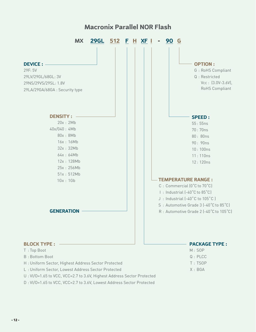# **Macronix Parallel NOR Flash**

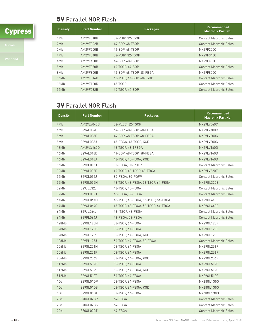# 5V Parallel NOR Flash



| <b>Density</b>  | <b>Part Number</b> | <b>Packages</b>          | Recommended<br><b>Macronix Part No.</b> |
|-----------------|--------------------|--------------------------|-----------------------------------------|
| 1M <sub>b</sub> | AM29F010B          | 32-PDIP, 32-TSOP         | <b>Contact Macronix Sales</b>           |
| 2Mb             | AM29F002B          | 44-SOP, 48-TSOP          | <b>Contact Macronix Sales</b>           |
| 2Mb             | AM29F200B          | 44-SOP, 48-TSOP          | MX29F200C                               |
| 4Mb             | AM29F040B          | 32-PDIP. 32-TSOP         | MX29F040C                               |
| 4Mb             | AM29F400B          | 44-SOP. 48-TSOP          | MX29F400C                               |
| 8Mb             | AM29F080B          | 40-TSOP, 44-SOP          | <b>Contact Macronix Sales</b>           |
| 8Mb             | AM29F800B          | 44-SOP, 48-TSOP, 48-FBGA | MX29F800C                               |
| 16Mb            | AM29F016D          | 40-TSOP, 44-SOP, 48-TSOP | <b>Contact Macronix Sales</b>           |
| 16Mb            | AM29F160D          | 48-TSOP                  | <b>Contact Macronix Sales</b>           |
| 32Mb            | AM29F032B          | 40-TSOP, 44-SOP          | <b>Contact Macronix Sales</b>           |

# 3V Parallel NOR Flash

| <b>Density</b>  | <b>Part Number</b> | <b>Packages</b>                    | Recommended<br><b>Macronix Part No.</b> |
|-----------------|--------------------|------------------------------------|-----------------------------------------|
| 4Mb             | AM29LV040B         | 32-PLCC, 32-TSOP                   | MX29LV040C                              |
| 4Mb             | S29AL004D          | 44-SOP, 48-TSOP, 48-FBGA           | MX29LV400C                              |
| 8Mb             | S29AL008D          | 44-SOP, 48-TSOP, 48-FBGA           | MX29LV800C                              |
| 8Mb             | S29AL008J          | 48-FBGA, 48-TSOP, KGD              | MX29LV800C                              |
| 16Mb            | AM29LV160D         | 48-TSOP, 48-TFBGA                  | MX29LV160D                              |
| 16Mb            | S29AL016D          | 44-SOP, 48-TSOP, 48-FBGA           | MX29LV160D                              |
| 16Mb            | S29AL016J          | 48-TSOP, 48-FBGA, KGD              | MX29LV160D                              |
| 16Mb            | S29CL016J          | 80-FBGA, 80-PQFP                   | <b>Contact Macronix Sales</b>           |
| 32Mb            | S29AL032D          | 40-TSOP, 48-TSOP, 48-FBGA          | MX29LV320E                              |
| 32Mb            | S29CL032J          | 80-FBGA, 80-PQFP                   | <b>Contact Macronix Sales</b>           |
| 32Mb            | S29GL032N          | 48-TSOP, 48-FBGA, 56-TSOP, 64-FBGA | MX29GL320E                              |
| 32Mb            | S29JL032J          | 48-TSOP, 48-FBGA                   | <b>Contact Macronix Sales</b>           |
| 32Mb            | S29PL032J          | 48-FBGA, 56-FBGA                   | <b>Contact Macronix Sales</b>           |
| 64Mb            | S29GL064N          | 48-TSOP, 48-FBGA, 56-TSOP, 64-FBGA | MX29GL640E                              |
| 64Mb            | S29GL064S          | 48-TSOP, 48-FBGA, 56-TSOP, 64-FBGA | MX29GL640E                              |
| 64Mb            | S29JL064J          | 48- TSOP, 48-FBGA                  | <b>Contact Macronix Sales</b>           |
| 64Mb            | S29PL064J          | 48-FBGA, 56-FBGA                   | <b>Contact Macronix Sales</b>           |
| 128Mb           | S29GL128N          | 56-TSOP, 64-FBGA                   | MX29GL128F                              |
| 128Mb           | S29GL128P          | 56-TSOP, 64-FBGA                   | MX29GL128F                              |
| 128Mb           | S29GL128S          | 56-TSOP, 64-FBGA, KGD              | MX29GL128F                              |
| 128Mb           | S29PL127J          | 56-TSOP, 64-FBGA, 80-FBGA          | <b>Contact Macronix Sales</b>           |
| 256Mb           | S29GL256N          | 56-TSOP, 64-FBGA                   | MX29GL256F                              |
| 256Mb           | S29GL256P          | 56-TSOP, 64-FBGA                   | MX29GL256F                              |
| 256Mb           | S29GL256S          | 56-TSOP, 64-FBGA, KGD              | MX29GL256F                              |
| 512Mb           | S29GL512P          | 56-TSOP, 64-FBGA                   | MX29GL512G                              |
| 512Mb           | S29GL512S          | 56-TSOP, 64-FBGA, KGD              | MX29GL512G                              |
| 512Mb           | S29GL512T          | 56-TSOP, 64-FBGA                   | MX29GL512G                              |
| 1Gb             | S29GL01GP          | 56-TSOP, 64-FBGA                   | MX68GL1G0G                              |
| 1Gb             | S29GL01GS          | 56-TSOP, 64-FBGA, KGD              | MX68GL1G0G                              |
| 1Gb             | S29GL01GT          | 56-TSOP, 64-FBGA                   | MX68GL1G0G                              |
| 2Gb             | S70GL02GP          | 64-FBGA                            | <b>Contact Macronix Sales</b>           |
| 2G <sub>b</sub> | S70GL02GS          | 64-FBGA                            | <b>Contact Macronix Sales</b>           |
| 2Gb             | S70GL02GT          | 64-FBGA                            | <b>Contact Macronix Sales</b>           |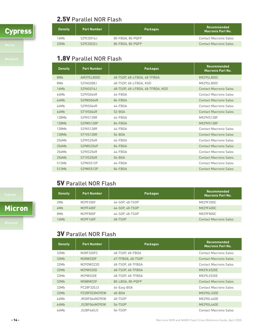# **Cypress**

# 2.5V Parallel NOR Flash

| <b>Density</b> | <b>Part Number</b> | <b>Packages</b>  | Recommended<br><b>Macronix Part No.</b> |
|----------------|--------------------|------------------|-----------------------------------------|
| 16Mb           | S29CD016J          | 80-FBGA, 80-PQFP | Contact Macronix Sales                  |
| 32Mb           | S29CD032J          | 80-FBGA, 80-PQFP | Contact Macronix Sales                  |

# 1.8V Parallel NOR Flash

| <b>Density</b> | <b>Part Number</b> | <b>Packages</b>                  | <b>Recommended</b><br><b>Macronix Part No.</b> |
|----------------|--------------------|----------------------------------|------------------------------------------------|
| 8Mb            | AM29SI 800D        | 48-TSOP, 48-LFBGA, 48-TFBGA      | <b>MX29SL800C</b>                              |
| 8Mb            | S29AS008J          | 48-TSOP, 48-LFBGA, KGD           | MX29SL800C                                     |
| 16Mb           | S29AS016J          | 48-TSOP, 48-LFBGA, 48-TFBGA, KGD | <b>Contact Macronix Sales</b>                  |
| 64Mb           | S29VS064R          | 44-FBGA                          | <b>Contact Macronix Sales</b>                  |
| 64Mb           | S29WS064R          | 84-FBGA                          | <b>Contact Macronix Sales</b>                  |
| 64Mb           | S29XS064R          | $44-FBBGA$                       | <b>Contact Macronix Sales</b>                  |
| 64Mb           | S71VS064R          | $52 - BGA$                       | <b>Contact Macronix Sales</b>                  |
| 128Mb          | S29VS128R          | 44-FBGA                          | MX29VS128F                                     |
| 128Mb          | S29WS128P          | 84-FBGA                          | <b>MX29VS128F</b>                              |
| 128Mb          | S29XS128R          | $44-FRGA$                        | <b>Contact Macronix Sales</b>                  |
| 128Mb          | S71VS128R          | 56-BGA                           | <b>Contact Macronix Sales</b>                  |
| 256Mb          | S29VS256R          | 44-FBGA                          | <b>Contact Macronix Sales</b>                  |
| 256Mb          | S29WS256P          | 84-FBGA                          | <b>Contact Macronix Sales</b>                  |
| 256Mb          | S29XS256R          | 44-FBGA                          | <b>Contact Macronix Sales</b>                  |
| 256Mb          | S71VS256R          | 56-BGA                           | <b>Contact Macronix Sales</b>                  |
| 512Mb          | S29NS512P          | 64-FBGA                          | <b>Contact Macronix Sales</b>                  |
| 512Mb          | S29WS512P          | 84-FBGA                          | <b>Contact Macronix Sales</b>                  |

# 5V Parallel NOR Flash

| <b>Density</b> | <b>Part Number</b> | <b>Packages</b> | <b>Recommended</b><br><b>Macronix Part No.</b> |
|----------------|--------------------|-----------------|------------------------------------------------|
| 2Mb            | M29F200F           | 44-SOP. 48-TSOP | MX29F200C                                      |
| 4Mb            | M29F400F           | 44-SOP, 48-TSOP | MX29F400C                                      |
| 8Mb            | M29F800F           | 44-SOP, 48-TSOP | MX29F800C                                      |
| 16Mb           | M29F160F           | 48-TSOP         | <b>Contact Macronix Sales</b>                  |

Micron

# 3V Parallel NOR Flash

| <b>Density</b> | <b>Part Number</b> | <b>Packages</b>   | Recommended<br><b>Macronix Part No.</b> |
|----------------|--------------------|-------------------|-----------------------------------------|
| 32Mb           | M28F320FC          | 48-TSOP, 48-FBGA  | <b>Contact Macronix Sales</b>           |
| 32Mb           | M28W320F           | 47-TFBGA, 48-TSOP | <b>Contact Macronix Sales</b>           |
| 32Mb           | M29DW323D          | 48-TSOP, 48-TFBGA | Contact Macronix Sales                  |
| 32Mb           | M29W320D           | 48-TSOP, 48-TFBGA | MX29LV320E                              |
| 32Mb           | M29W320E           | 48-TSOP, 48-TFBGA | MX29LV320E                              |
| 32Mb           | M58BW32F           | 80-LBGA, 80-PQFP  | <b>Contact Macronix Sales</b>           |
| 32Mb           | PC28F320J3         | 64-Easy BGA       | <b>Contact Macronix Sales</b>           |
| 32Mb           | PZ28F032M29EW      | $48 - BGA$        | MX29GL320E                              |
| 64Mb           | JR28F064M29EW      | 48-TSOP           | MX29GL640E                              |
| 64Mb           | JS28F064M29EW      | 56-TSOP           | MX29GL640E                              |
| 64Mb           | JS28F640J3         | 56-TSOP           | <b>Contact Macronix Sales</b>           |

- 14 - Macronix NOR and NAND Flash Cross Reference Guide, April 2020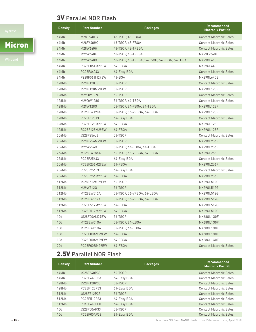# 3V Parallel NOR Flash

# Micron

| <b>Density</b> | <b>Part Number</b> | <b>Packages</b>                              | <b>Recommended</b><br><b>Macronix Part No.</b> |
|----------------|--------------------|----------------------------------------------|------------------------------------------------|
| 64Mb           | M28F640FC          | 48-TSOP, 48-FBGA                             | <b>Contact Macronix Sales</b>                  |
| 64Mb           | M28F640HC          | 48-TSOP, 48-FBGA                             | <b>Contact Macronix Sales</b>                  |
| 64Mb           | M28W640H           | 48-TSOP, 48-TFBGA                            | <b>Contact Macronix Sales</b>                  |
| 64Mb           | M29W640F           | 48-TSOP, 48-TFBGA                            | MX29LV640E                                     |
| 64Mb           | M29W640G           | 48-TSOP, 48-TFBGA, 56-TSOP, 64-FBGA, 64-TBGA | <b>MX29GL640E</b>                              |
| 64Mb           | PC28F064M29EW      | 64-FBGA                                      | MX29GL640E                                     |
| 64Mb           | PC28F640J3         | 64-Easy BGA                                  | <b>Contact Macronix Sales</b>                  |
| 64Mb           | PZ28F064M29EW      | 48-BGA                                       | MX29GL640E                                     |
| 128Mb          | JS28F128J3         | 56-TSOP                                      | <b>Contact Macronix Sales</b>                  |
| 128Mb          | JS28F128M29EW      | 56-TSOP                                      | MX29GL128F                                     |
| 128Mb          | M29DW127G          | 56-TSOP                                      | <b>Contact Macronix Sales</b>                  |
| 128Mb          | M29DW128G          | 56-TSOP, 64-TBGA                             | <b>Contact Macronix Sales</b>                  |
| 128Mb          | M29W128G           | 56-TSOP, 64-FBGA, 64-TBGA                    | MX29GL128F                                     |
| 128Mb          | MT28EW128A         | 56-TSOP, 56-VFBGA, 64-LBGA                   | MX29GL128F                                     |
| 128Mb          | PC28F128J3         | 64-Easy BGA                                  | <b>Contact Macronix Sales</b>                  |
| 128Mb          | PC28F128M29EW      | 64-FBGA                                      | MX29GL128F                                     |
| 128Mb          | RC28F128M29EW      | 64-FBGA                                      | MX29GL128F                                     |
| 256Mb          | JS28F256J3         | 56-TSOP                                      | <b>Contact Macronix Sales</b>                  |
| 256Mb          | JS28F256M29EW      | 56-TSOP                                      | MX29GL256F                                     |
| 256Mb          | M29W256G           | 56-TSOP, 64-FBGA, 64-TBGA                    | MX29GL256F                                     |
| 256Mb          | MT28EW256A         | 56-TSOP, 56-VFBGA, 64-LBGA                   | MX29GL256F                                     |
| 256Mb          | PC28F256J3         | 64-Easy BGA                                  | <b>Contact Macronix Sales</b>                  |
| 256Mb          | PC28F256M29EW      | 64-FBGA                                      | MX29GL256F                                     |
| 256Mb          | RC28F256J3         | 64-Easy BGA                                  | <b>Contact Macronix Sales</b>                  |
| 256Mb          | RC28F256M29EW      | 64-FBGA                                      | MX29GL256F                                     |
| 512Mb          | JS28F512M29EW      | 56-TSOP                                      | MX29GL512G                                     |
| 512Mb          | M29W512G           | 56-TSOP                                      | MX29GL512G                                     |
| 512Mb          | MT28EW512A         | 56-TSOP, 56-VFBGA, 64-LBGA                   | MX29GL512G                                     |
| 512Mb          | MT28FW512A         | 56-TSOP, 56-VFBGA, 64-LBGA                   | MX29GL512G                                     |
| 512Mb          | PC28F512M29EW      | 64-FBGA                                      | MX29GL512G                                     |
| 512Mb          | RC28F512M29EW      | 64-FBGA                                      | MX29GL512G                                     |
| 1Gb            | JS28F00AM29EW      | 56-TSOP                                      | MX68GL1G0F                                     |
| 1Gb            | MT28EW01GA         | 56-TSOP, 64-LBGA                             | MX68GL1G0F                                     |
| 1Gb            | MT28FW01GA         | 56-TSOP, 64-LBGA                             | MX68GL1G0F                                     |
| 1Gb            | PC28F00AM29EW      | 64-FBGA                                      | MX68GL1G0F                                     |
| 1Gb            | RC28F00AM29EW      | 64-FBGA                                      | MX68GL1G0F                                     |
| 2Gb            | PC28F00BM29EW      | 64-FBGA                                      | <b>Contact Macronix Sales</b>                  |

# 2.5V Parallel NOR Flash

| <b>Density</b>  | <b>Part Number</b> | <b>Packages</b> | Recommended<br><b>Macronix Part No.</b> |
|-----------------|--------------------|-----------------|-----------------------------------------|
| 64Mb            | JS28F640P33        | 56-TSOP         | <b>Contact Macronix Sales</b>           |
| 64Mb            | PC28F640P33        | 64-Easy BGA     | <b>Contact Macronix Sales</b>           |
| 128Mb           | JS28F128P33        | 56-TSOP         | <b>Contact Macronix Sales</b>           |
| 128Mb           | PC28F128P33        | 64-Easy BGA     | <b>Contact Macronix Sales</b>           |
| 512Mb           | JS28F512P33        | 56-TSOP         | <b>Contact Macronix Sales</b>           |
| 512Mb           | PC28F512P33        | 64-Easy BGA     | <b>Contact Macronix Sales</b>           |
| 512Mb           | PC48F4400P0        | 64-Easy BGA     | <b>Contact Macronix Sales</b>           |
| 1G <sub>b</sub> | JS28F00AP33        | 56-TSOP         | <b>Contact Macronix Sales</b>           |
| 1Gb             | PC28F00AP33        | 64-Easy BGA     | <b>Contact Macronix Sales</b>           |

- 15 - Macronix NOR and NAND Flash Cross Reference Guide, April 2020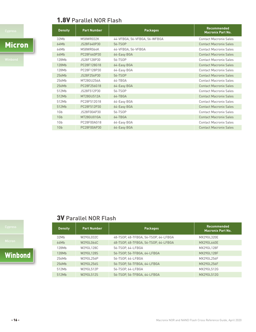# 1.8V Parallel NOR Flash

Micron

| <b>Part Number</b> | <b>Packages</b>              | <b>Recommended</b><br><b>Macronix Part No.</b> |
|--------------------|------------------------------|------------------------------------------------|
| M58WR032K          | 44-VFBGA, 56-VFBGA, 56-WFBGA | <b>Contact Macronix Sales</b>                  |
| JS28F640P30        | 56-TSOP                      | <b>Contact Macronix Sales</b>                  |
| M58WR064K          | 44-VFBGA, 56-VFBGA           | <b>Contact Macronix Sales</b>                  |
| PC28F640P30        | 64-Easy BGA                  | <b>Contact Macronix Sales</b>                  |
| JS28F128P30        | 56-TSOP                      | <b>Contact Macronix Sales</b>                  |
| PC28F128G18        | 64-Easy BGA                  | <b>Contact Macronix Sales</b>                  |
| PC28F128P30        | 64-Easy BGA                  | <b>Contact Macronix Sales</b>                  |
| JS28F256P30        | 56-TSOP                      | <b>Contact Macronix Sales</b>                  |
| MT28GU256A         | 64-TBGA                      | <b>Contact Macronix Sales</b>                  |
| PC28F256G18        | 64-Easy BGA                  | <b>Contact Macronix Sales</b>                  |
| JS28F512P30        | 56-TSOP                      | <b>Contact Macronix Sales</b>                  |
| MT28GU512A         | 64-TBGA                      | <b>Contact Macronix Sales</b>                  |
| PC28F512G18        | 64-Easy BGA                  | <b>Contact Macronix Sales</b>                  |
| PC28F512P30        | 64-Easy BGA                  | <b>Contact Macronix Sales</b>                  |
| JS28F00AP30        | 56-TSOP                      | <b>Contact Macronix Sales</b>                  |
| MT28GU01GA         | 64-TBGA                      | <b>Contact Macronix Sales</b>                  |
| PC28F00AG18        | 64-Easy BGA                  | <b>Contact Macronix Sales</b>                  |
| PC28F00AP30        | 64-Easy BGA                  | <b>Contact Macronix Sales</b>                  |
|                    |                              |                                                |

# 3V Parallel NOR Flash

| <b>Density</b> | <b>Part Number</b> | <b>Packages</b>                      | Recommended<br><b>Macronix Part No.</b> |
|----------------|--------------------|--------------------------------------|-----------------------------------------|
| 32Mb           | W29GL032C          | 48-TSOP, 48-TFBGA, 56-TSOP, 64-LFBGA | MX29GL320E                              |
| 64Mb           | W29GL064C          | 48-TSOP, 48-TFBGA, 56-TSOP, 64-LFBGA | MX29GL640E                              |
| 128Mb          | W29GL128C          | 56-TSOP, 64-LFBGA                    | MX29GL128F                              |
| 128Mb          | W29GL128S          | 56-TSOP, 56-TFBGA, 64-LFBGA          | MX29GL128F                              |
| 256Mb          | W29GL256P          | 56-TSOP, 64-LFBGA                    | MX29GL256F                              |
| 256Mb          | W29GL256S          | 56-TSOP, 56-TFBGA, 64-LFBGA          | MX29GL256F                              |
| 512Mb          | W29GL512P          | 56-TSOP, 64-LFBGA                    | MX29GL512G                              |
| 512Mb          | W29GL512S          | 56-TSOP, 56-TFBGA, 64-LFBGA          | MX29GL512G                              |

**Winbond**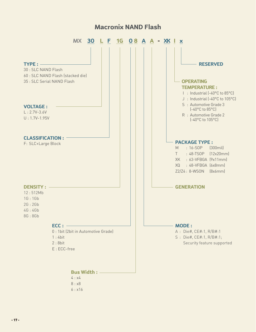# **Macronix NAND Flash**

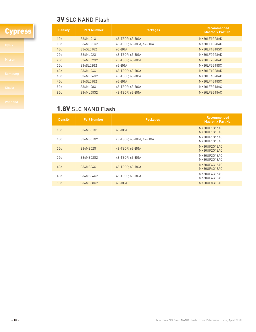# **3V SLC NAND Flash**

# **Cypress**

| <b>Density</b>  | <b>Part Number</b> | <b>Packages</b>         | <b>Recommended</b><br><b>Macronix Part No.</b> |
|-----------------|--------------------|-------------------------|------------------------------------------------|
| 1G <sub>b</sub> | S34ML01G1          | 48-TSOP, 63-BGA         | MX30LF1G28AD                                   |
| 1Gb             | S34ML01G2          | 48-TSOP, 63-BGA, 67-BGA | MX30LF1G28AD                                   |
| 1G <sub>b</sub> | S34SL01G2          | $63 - BGA$              | MX30LF1G18SC                                   |
| 2G <sub>b</sub> | S34ML02G1          | 48-TSOP, 63-BGA         | MX30LF2G28AD                                   |
| 2G <sub>b</sub> | S34ML02G2          | 48-TSOP, 63-BGA         | MX30LF2G28AD                                   |
| 2Gb             | S34SL02G2          | $63 - BGA$              | MX30LF2G18SC                                   |
| 4Gb             | S34ML04G1          | 48-TSOP, 63-BGA         | MX30LF4G28AD                                   |
| 4Gb             | S34ML04G2          | 48-TSOP, 63-BGA         | MX30LF4G28AD                                   |
| 4Gb             | S34SL04G2          | $63 - BGA$              | MX30LF4G18SC                                   |
| 8Gb             | S34ML08G1          | 48-TSOP, 63-BGA         | MX60LF8G18AC                                   |
| 8G <sub>b</sub> | S34ML08G2          | 48-TSOP, 63-BGA         | MX60LF8G18AC                                   |

# 1.8V SLC NAND Flash

| <b>Density</b>  | <b>Part Number</b> | <b>Packages</b>         | <b>Recommended</b><br><b>Macronix Part No.</b> |
|-----------------|--------------------|-------------------------|------------------------------------------------|
| 1G <sub>b</sub> | S34MS01G1          | $63 - BGA$              | MX30UF1G16AC,<br>MX30UF1G18AC                  |
| 1G <sub>b</sub> | S34MS01G2          | 48-TSOP, 63-BGA, 67-BGA | MX30UF1G16AC,<br>MX30UF1G18AC                  |
| 2G <sub>b</sub> | S34MS02G1          | 48-TSOP, 63-BGA         | MX30UF2G16AC.<br>MX30UF2G18AC                  |
| 2G <sub>b</sub> | S34MS02G2          | 48-TSOP, 63-BGA         | MX30UF2G16AC.<br>MX30UF2G18AC                  |
| 4Gb             | S34MS04G1          | 48-TSOP, 63-BGA         | MX30UF4G16AC.<br>MX30UF4G18AC                  |
| 4Gb             | S34MS04G2          | 48-TSOP, 63-BGA         | MX30UF4G16AC.<br>MX30UF4G18AC                  |
| 8Gb             | S34MS08G2          | $63 - BGA$              | MX60UF8G18AC                                   |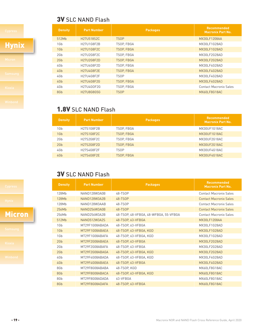# **3V SLC NAND Flash**

# **Hynix**

# 1.8V SLC NAND Flash

| <b>Density</b>  | <b>Part Number</b> | <b>Packages</b>   | <b>Recommended</b><br><b>Macronix Part No.</b> |
|-----------------|--------------------|-------------------|------------------------------------------------|
| 1Gb             | H27S1G8F2B         | TSOP. FBGA        | MX30UF1G18AC                                   |
| 1G <sub>b</sub> | H27S1G8F2C         | <b>TSOP, FBGA</b> | MX30UF1G18AC                                   |
| 2Gb             | H27S2G8F2C         | TSOP, FBGA        | MX30UF2G18AC                                   |
| 2Gb             | <b>H27S2G8F2D</b>  | <b>TSOP, FBGA</b> | MX30UF2G18AC                                   |
| 4Gb             | H27S4G8F2F         | <b>TSOP</b>       | MX30UF4G18AC                                   |
| 4Gb             | <b>H27S4G8F2E</b>  | <b>TSOP, FBGA</b> | MX30UF4G18AC                                   |

**Density Part Number Packages Packages Recommended Recommended** 

512Mb H27U518S2C TSOP MX30LF1208AA 1Gb H27U1G8F2B TSOP, FBGA MX30LF1G28AD 1Gb H27U1G8F2C TSOP, FBGA MX30LF1G28AD 2Gb H27U2G8F2C TSOP, FBGA MX30LF2G28AD 2Gb H27U2G8F2D TSOP, FBGA MX30LF2G28AD 4Gb H27U4G8F2D TSOP, FBGA MX30LF4G28AD 4Gb H27U4G8F2E TSOP, FBGA MX30LF4G28AD 4Gb H27U4G8F2F TSOP MX30LF4G28AD 4Gb H27U4G8F2G TSOP, FBGA MX30LF4G28AD 4Gb H27U4GOF2G TSOP, FBGA Contact Macronix Sales 8Gb H27U8G8G5G TSOP MX60LF8G18AC

**Macronix Part No.**

# **3V SLC NAND Flash**

| <b>Density</b>  | <b>Part Number</b>  | <b>Packages</b>                       | <b>Recommended</b><br><b>Macronix Part No.</b> |
|-----------------|---------------------|---------------------------------------|------------------------------------------------|
| 128Mb           | NAND128W3A0B        | 48-TSOP                               | <b>Contact Macronix Sales</b>                  |
| 128Mb           | NAND128W3A2B        | 48-TSOP                               | <b>Contact Macronix Sales</b>                  |
| 128Mb           | NAND128W3AAB        | 48-TSOP                               | <b>Contact Macronix Sales</b>                  |
| 256Mb           | NAND256W3A0B        | 48-TSOP                               | <b>Contact Macronix Sales</b>                  |
| 256Mb           | NAND256W3A2B        | 48-TSOP, 48-VFBGA, 48-WFBGA, 55-VFBGA | <b>Contact Macronix Sales</b>                  |
| 512Mb           | <b>NAND512W3A2S</b> | 48-TSOP, 63-VFBGA                     | <b>MX30LF1208AA</b>                            |
| 1G <sub>b</sub> | MT29F1G08ABADA      | 48-TSOP, 63-VFBGA                     | MX30LF1G28AD                                   |
| 1Gb             | MT29F1G08ABAEA      | 48-TSOP, 63-VFBGA, KGD                | MX30LF1G28AD                                   |
| 1Gb             | MT29F1G08ABAFA      | 48-TSOP, 63-VFBGA, KGD                | MX30LF1G28AD                                   |
| 2Gb             | MT29F2G08ABAEA      | 48-TSOP, 63-VFBGA                     | MX30LF2G28AD                                   |
| 2Gb             | MT29F2G08ABAFA      | 48-TSOP, 63-VFBGA                     | MX30LF2G28AD                                   |
| 2Gb             | MT29F2G08ABAGA      | 48-TSOP, 63-VFBGA, KGD                | MX30LF2G28AD                                   |
| 4Gb             | MT29F4G08ABADA      | 48-TSOP, 63-VFBGA, KGD                | MX30LF4G28AD                                   |
| 4Gb             | MT29F4G08ABAEA      | 48-TSOP, 63-VFBGA                     | MX30LF4G28AD                                   |
| 8Gb             | MT29F8G08ABABA      | 48-TSOP, KGD                          | MX60LF8G18AC                                   |
| 8Gb             | MT29F8G08ABACA      | 48-TSOP, 63-VFBGA, KGD                | MX60LF8G18AC                                   |
| 8Gb             | MT29F8G08ADADA      | 63-VFBGA                              | MX60LF8G18AC                                   |
| 8Gb             | MT29F8G08ADAFA      | 48-TSOP, 63-VFBGA                     | MX60LF8G18AC                                   |

# Micron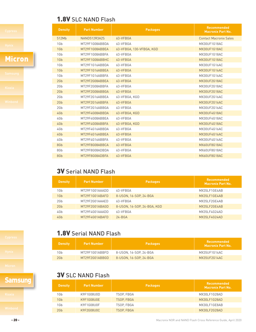# 1.8V SLC NAND Flash

# Micron

| <b>Density</b> | <b>Part Number</b>  | <b>Packages</b>          | <b>Recommended</b><br><b>Macronix Part No.</b> |
|----------------|---------------------|--------------------------|------------------------------------------------|
| 512Mb          | <b>NAND512R3A2S</b> | 63-VFBGA                 | <b>Contact Macronix Sales</b>                  |
| 1Gb            | MT29F1G08ABBDA      | 63-VFBGA                 | MX30UF1G18AC                                   |
| 1Gb            | MT29F1G08ABBEA      | 63-VFBGA, 130-VFBGA, KGD | MX30UF1G18AC                                   |
| 1Gb            | MT29F1G08ABBFA      | 63-VFBGA                 | MX30UF1G18AC                                   |
| 1Gb            | MT29F1G08ABBHC      | 63-VFBGA                 | MX30UF1G18AC                                   |
| 1Gb            | MT29F1G16ABBDA      | 63-VFBGA                 | MX30UF1G16AC                                   |
| 1Gb            | MT29F1G16ABBEA      | 63-VFBGA                 | <b>MX30UF1G16AC</b>                            |
| 1Gb            | MT29F1G16ABBFA      | 63-VFBGA                 | MX30UF1G16AC                                   |
| 2Gb            | MT29F2G08ABBEA      | 63-VFBGA                 | MX30UF2G18AC                                   |
| 2Gb            | MT29F2G08ABBFA      | 63-VFBGA                 | MX30UF2G18AC                                   |
| 2Gb            | MT29F2G08ABBGA      | 63-VFBGA                 | MX30UF2G18AC                                   |
| 2Gb            | MT29F2G16ABBEA      | 63-VFBGA, KGD            | MX30UF2G16AC                                   |
| 2Gb            | MT29F2G16ABBFA      | 63-VFBGA                 | MX30UF2G16AC                                   |
| 2Gb            | MT29F2G16ABBGA      | 63-VFBGA                 | MX30UF2G16AC                                   |
| 4Gb            | MT29F4G08ABBDA      | 63-VFBGA, KGD            | MX30UF4G18AC                                   |
| 4Gb            | MT29F4G08ABBEA      | 63-VFBGA                 | MX30UF4G18AC                                   |
| 4Gb            | MT29F4G08ABBFA      | 63-VFBGA, KGD            | MX30UF4G18AC                                   |
| 4Gb            | MT29F4G16ABBDA      | 63-VFBGA                 | MX30UF4G16AC                                   |
| 4Gb            | MT29F4G16ABBEA      | 63-VFBGA                 | MX30UF4G16AC                                   |
| 4Gb            | MT29F4G16ABBFA      | 63-VFBGA                 | MX30UF4G16AC                                   |
| 8Gb            | MT29F8G08ABBCA      | 63-VFBGA                 | MX60UF8G18AC                                   |
| 8Gb            | MT29F8G08ADBDA      | 63-VFBGA                 | MX60UF8G18AC                                   |
| 8Gb            | MT29F8G08ADBFA      | 63-VFBGA                 | MX60UF8G18AC                                   |

# 3V Serial NAND Flash

| <b>Density</b>  | <b>Part Number</b> | <b>Packages</b>             | <b>Recommended</b><br><b>Macronix Part No.</b> |
|-----------------|--------------------|-----------------------------|------------------------------------------------|
| 1Gb             | MT29F1G01AAADD     | 63-VFBGA                    | MX35LF1GE4AB                                   |
| 1G <sub>b</sub> | MT29F1G01ABAFD     | 8-USON, 16-SOP, 24-BGA      | MX35LF1GE4AB                                   |
| 2G <sub>b</sub> | MT29F2G01AAAFD     | 63-VFBGA                    | MX35LF2GE4AB                                   |
| 2G <sub>b</sub> | MT29F2G01ABAGD     | 8-USON, 16-SOP, 24-BGA, KGD | MX35LF2GE4AB                                   |
| 4Gb             | MT29F4G01AAADD     | 63-VFBGA                    | MX35LF4G24AD                                   |
| 4Gb             | MT29F4G01ABAFD     | $24 - BGA$                  | MX35LF4G24AD                                   |

# 1.8V Serial NAND Flash

| <b>Density</b>  | <b>Part Number</b> | <b>Packages</b>        | Recommended<br><b>Macronix Part No.</b> |
|-----------------|--------------------|------------------------|-----------------------------------------|
| 1 G b           | MT29F1G01ABBFD     | 8-USON. 16-SOP. 24-BGA | MX35UF1G14AC                            |
| 2G <sub>b</sub> | MT29F2G01ABBGD     | 8-USON, 16-SOP, 24-BGA | MX35UF2G14AC                            |

# **3V SLC NAND Flash**

| Jan Bung       | <b>Density</b> | <b>Part Number</b> | <b>Packages</b> | Recommended<br><b>Macronix Part No.</b> |
|----------------|----------------|--------------------|-----------------|-----------------------------------------|
| Kioxia         | 1Gb            | K9F1G08U0D         | TSOP, FBGA      | MX30LF1G28AD                            |
|                | 1Gb            | K9F1G08U0E         | TSOP, FBGA      | MX30LF1G28AD                            |
|                | 1Gb            | K9F1G08U0F         | TSOP. FBGA      | MX30LF1GE8AB                            |
| <b>Winbond</b> | 2Gb            | K9F2G08U0C         | TSOP, FBGA      | MX30LF2G28AD                            |

# **Samsung**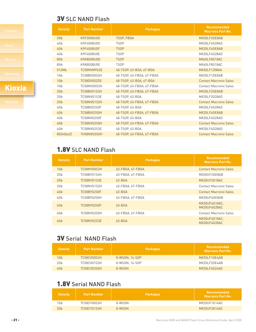# **3V SLC NAND Flash**

# Kioxia

| <b>Density</b>  | <b>Part Number</b> | <b>Packages</b>           | <b>Recommended</b><br><b>Macronix Part No.</b> |
|-----------------|--------------------|---------------------------|------------------------------------------------|
| 2G <sub>b</sub> | K9F2G08U0D         | <b>TSOP, FBGA</b>         | MX30LF2GE8AB                                   |
| 4Gb             | K9F4G08U0D         | <b>TSOP</b>               | MX30LF4G28AD                                   |
| 4Gb             | K9F4G08U0F         | <b>TSOP</b>               | MX30LF4GE8AB                                   |
| 4Gb             | K9F4G08U0E         | <b>TSOP</b>               | MX30LF4G28AD                                   |
| 8Gb             | K9K8G08U0D         | <b>TSOP</b>               | MX60LF8G18AC                                   |
| 8Gb             | K9K8G08U0E         | <b>TSOP</b>               | MX60LF8G18AC                                   |
| 512Mb           | TC58NVM9S3E        | 48-TSOP, 63-BGA, 67-BGA   | <b>MX30LF1208AA</b>                            |
| 1Gb             | TC58BVG0S3H        | 48-TSOP, 63-FBGA, 67-FBGA | MX30LF1GE8AB                                   |
| 1Gb             | <b>TC58DVG02D5</b> | 48-TSOP, 63-BGA, 67-BGA   | <b>Contact Macronix Sales</b>                  |
| 1G <sub>b</sub> | TC58NVG0S3H        | 48-TSOP, 63-FBGA, 67-FBGA | <b>Contact Macronix Sales</b>                  |
| 2G <sub>b</sub> | TC58BVG1S3H        | 48-TSOP, 63-FBGA, 67-FBGA | MX30LF2GE8AB                                   |
| 2G <sub>b</sub> | TC58NVG1S3E        | 48-TSOP, 63-BGA           | MX30LF2G28AD                                   |
| 2G <sub>b</sub> | TC58NVG1S3H        | 48-TSOP, 63-FBGA, 67-FBGA | <b>Contact Macronix Sales</b>                  |
| 4Gb             | TC58BVG2S0F        | 48-TSOP, 63-BGA           | MX30LF4G28AD                                   |
| 4Gb             | TC58BVG2S0H        | 48-TSOP, 63-FBGA, 67-FBGA | MX30LF4GE8AB                                   |
| 4Gb             | TC58NVG2S0F        | 48-TSOP, 63-BGA           | MX30LF4G28AD                                   |
| 4Gb             | TC58NVG2S0H        | 48-TSOP. 63-FBGA. 67-FBGA | <b>Contact Macronix Sales</b>                  |
| 4Gb             | TC58NVG2S3E        | 48-TSOP, 63-BGA           | MX30LF4G28AD                                   |
| 8G(4Gbx2)       | TH58NVG3S0H        | 48-TSOP, 63-FBGA, 67-FBGA | <b>Contact Macronix Sales</b>                  |

# 1.8V SLC NAND Flash

| <b>Density</b>  | <b>Part Number</b> | <b>Packages</b>  | <b>Recommended</b><br><b>Macronix Part No.</b> |
|-----------------|--------------------|------------------|------------------------------------------------|
| 1G <sub>b</sub> | TC58NYG0S3H        | 63-FBGA, 67-FBGA | <b>Contact Macronix Sales</b>                  |
| 2G <sub>b</sub> | TC58BYG1S3H        | 63-FBGA, 67-FBGA | MX30UF2GE8AB                                   |
| 2G <sub>b</sub> | TC58NYG1S3E        | $63 - BGA$       | MX30UF2G18AC                                   |
| 2G <sub>b</sub> | TC58NYG1S3H        | 63-FBGA, 67-FBGA | <b>Contact Macronix Sales</b>                  |
| 4Gb             | TC58BYG2S0F        | $63 - BGA$       | <b>Contact Macronix Sales</b>                  |
| 4Gb             | TC58BYG2S0H        | 63-FBGA, 67-FBGA | MX30UF4GE8AB                                   |
| 4Gb             | TC58NYG2S0F        | $63 - BGA$       | MX30UF4G18AC.<br>MX30UF4G28AC                  |
| 4Gb             | TC58NYG2S0H        | 63-FBGA, 67-FBGA | <b>Contact Macronix Sales</b>                  |
| 4Gb             | TC58NYG2S3E        | $63 - BGA$       | MX30UF4G18AC.<br>MX30UF4G28AC                  |

# 3V Serial NAND Flash

| <b>Density</b> | <b>Part Number</b> | <b>Packages</b> | Recommended<br><b>Macronix Part No.</b> |
|----------------|--------------------|-----------------|-----------------------------------------|
| 1Gb            | TC58CVG0S3H        | 8-WSON, 16-SOP  | MX35LF1GE4AB                            |
| 2Gb            | TC58CVG1S3H        | 8-WSON, 16-SOP  | MX35LF2GE4AB                            |
| 4Gb            | TC58CVG2S0H        | 8-WSON          | MX35LF4G24AD                            |

# 1.8V Serial NAND Flash

| <b>Density</b>  | <b>Part Number</b> | <b>Packages</b> | Recommended<br><b>Macronix Part No. 1</b> |
|-----------------|--------------------|-----------------|-------------------------------------------|
| 1Gb             | TC58CYG0S3H        | 8-WSON          | MX35UF1G14AC                              |
| 2G <sub>b</sub> | TC58CYG1S3H        | 8-WSON          | MX35UF2G14AC                              |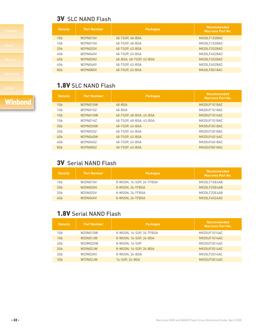# **3V SLC NAND Flash**

| <b>Density</b>  | <b>Part Number</b> | <b>Packages</b>         | <b>Recommended</b><br><b>Macronix Part No.</b> |
|-----------------|--------------------|-------------------------|------------------------------------------------|
| 1Gb             | W29N01GV           | 48-TSOP, 48-BGA         | MX30LF1G28AD                                   |
| 1G <sub>b</sub> | W29N01HV           | 48-TSOP, 48-BGA         | MX30LF1G28AD                                   |
| 2G <sub>b</sub> | W29N02GV           | 48-TSOP, 63-BGA         | MX30LF2G28AD                                   |
| 4Gb             | W29N04GV           | 48-TSOP, 63-BGA         | MX30LF4G28AD                                   |
| 4Gb             | W29N02KV           | 48-BGA, 48-TSOP, 63-BGA | MX30LF2G28AD                                   |
| 4Gb             | W29N04KV           | 48-TSOP, 63-BGA         | MX30LF4G28AD                                   |
| 8Gb             | W29N08GV           | 48-TSOP. 63-BGA         | MX60LF8G18AC                                   |

# 1.8V SLC NAND Flash

| <b>Density</b>  | <b>Part Number</b> | <b>Packages</b>         | Recommended<br><b>Macronix Part No.</b> |
|-----------------|--------------------|-------------------------|-----------------------------------------|
| 1Gb             | W29N01GW           | $48 - BGA$              | MX30UF1G18AC                            |
| 1Gb             | W29N01GZ           | $48 - BGA$              | MX30UF1G18AC                            |
| 1G <sub>b</sub> | W29N01HW           | 48-TSOP, 48-BGA, 63-BGA | <b>MX30UF1G16AC</b>                     |
| 1Gb             | W29N01HZ           | 48-TSOP, 48-BGA, 63-BGA | MX30UF1G18AC                            |
| 2G <sub>b</sub> | W29N02GW           | 48-TSOP, 63-BGA         | MX30UF2G18AC                            |
| 2G <sub>b</sub> | W29N02GZ           | 48-TSOP, 63-BGA         | MX30UF2G18AC                            |
| 4Gb             | W29N04GW           | 48-TSOP, 63-BGA         | MX30UF4G16AC                            |
| 4Gb             | W29N04GZ           | 48-TSOP, 63-BGA         | MX30UF4G18AC                            |
| 8Gb             | W29N08GZ           | 48-TSOP. 63-BGA         | MX60UF8G18AC                            |

# 3V Serial NAND Flash

| <b>Density</b>  | <b>Part Number</b> | <b>Packages</b>          | Recommended<br><b>Macronix Part No.</b> |
|-----------------|--------------------|--------------------------|-----------------------------------------|
| 1Gb             | W25N01GV           | 8-WSON, 16-SOP, 24-TFBGA | MX35LF1GE4AB                            |
| 2G <sub>b</sub> | W25M02GV           | 8-WSON, 24-TFBGA         | MX35L F2GF4AB                           |
| 2G <sub>b</sub> | W25N02GV           | 8-WSON, 24-TFBGA         | MX35LF2GE4AB                            |
| 4Gb             | W25N04KV           | 8-WSON, 24-TFBGA         | MX35LF4G24AD                            |

# 1.8V Serial NAND Flash

| <b>Density</b>  | <b>Part Number</b> | <b>Packages</b>          | <b>Recommended</b><br><b>Macronix Part No.</b> |
|-----------------|--------------------|--------------------------|------------------------------------------------|
| 1Gb             | W25N01GW           | 8-WSON, 16-SOP, 24-TFBGA | MX35UF1G14AC                                   |
| 1G <sub>b</sub> | W25N01JW           | 8-WSON, 16-SOP, 24-BGA   | MX35UF1G14AC                                   |
| 2Gb             | W25M02GW           | 8-WSON, 16-SOP           | MX35UF2G14AC                                   |
| 2G <sub>b</sub> | W25N02JW           | 8-WSON, 16-SOP, 24-BGA   | MX35UF2G14AC                                   |
| 2Gb             | W25N02KV           | 8-WSON, 24-BGA           | MX35LF2G14AC                                   |
| 2Gb             | W72N02JW           | 16-SOP. 24-BGA           | MX35UF2G14AC                                   |

# **Winbond**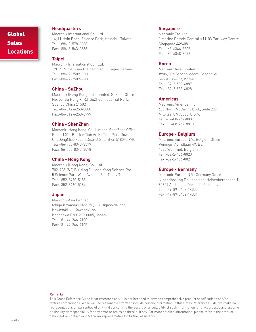# Global **Sales** Locations

## **Headquarters**

Macronix International Co., Ltd. 16, Li-Hsin Road, Science Park, Hsinchu, Taiwan Tel: +886-3-578-6688 Fax: +886-3-563-2888

## **Taipei**

Macronix International Co., Ltd. 19F, 4, Min-Chuan E. Road, Sec. 3, Taipei, Taiwan Tel: +886-2-2509-3300 Fax: +886-2-2509-2200

## **China - SuZhou**

Macronix (Hong Kong) Co., Limited, SuZhou Office No. 55, Su Hong Xi Rd, SuZhou Industrial Park, SuZhou China 215021 Tel: +86-512-6258-0888 Fax: +86-512-6258-6799

## **China - ShenZhen**

Macronix (Hong Kong) Co., Limited, ShenZhen Office Room 1401, Block A Tian An Hi-Tech Plaza Tower CheGongMiao Futian District Shenzhen 518040 PRC Tel: +86-755-8343-3579 Fax: +86-755-8343-8078

# **China - Hong Kong**

Macronix (Hong Kong) Co., Ltd. 702-703, 7/F, Building 9, Hong Kong Science Park, 5 Science Park West Avenue, Sha Tin, N.T. Tel: +852-3460-5188 Fax: +852-3460-5184

# **Japan**

Macronix Asia Limited. Ichigo Kawasaki Bldg. 5F, 1-2 Higashida-cho, Kawasaki-ku Kawasaki-shi, Kanagawa Pref. 210-0005, Japan Tel: +81-44-246-9100 Fax: +81-44-246-9105

# **Singapore**

Macronix Pte. Ltd. 1 Marine Parade Central #11-03 Parkway Centre Singapore 449408 Tel: +65-6346-5505 Fax: +65-6348-8096

# **Korea**

Macronix Asia Limited. #906, 396 Seocho-daero, Seocho-gu, Seoul 135-857, Korea Tel: +82-2-588-6887 Fax: +82-2-588-6828

## **Americas**

Macronix America, Inc. 680 North McCarthy Blvd., Suite 200 Milpitas, CA 95035, U.S.A. Tel: +1-408-262-8887 Fax: +1-408-262-8810

# **Europe - Belgium**

Macronix Europe N.V., Belgium Office Koningin Astridlaan 49, B6, 1780 Wemmel, Belgium Tel: +32-2-456-8020 Fax: +32-2-456-8021

## **Europe - Germany**

Macronix Europe N.V., Germany Office Niederlassung Deutschland, Heisenbergbogen 1, 85609 Aschheim-Dornach, Germany Tel: +49-89-5402-14000 Fax: +49-89-5402-14001

### **Remark:**

This Cross Reference Guide is for reference only. It is not intended to provide comprehensive product specifications and/or feature comparisons. While we use reasonable efforts to include certain information in this Cross Reference Guide, we make no representations or warranties of any kind concerning the accuracy or suitability of such information for any purposes and assume no liability or responsibility for any error or omission therein, if any. For more detailed information, please refer to the product datasheet or contact your Macronix representative for further assistance.